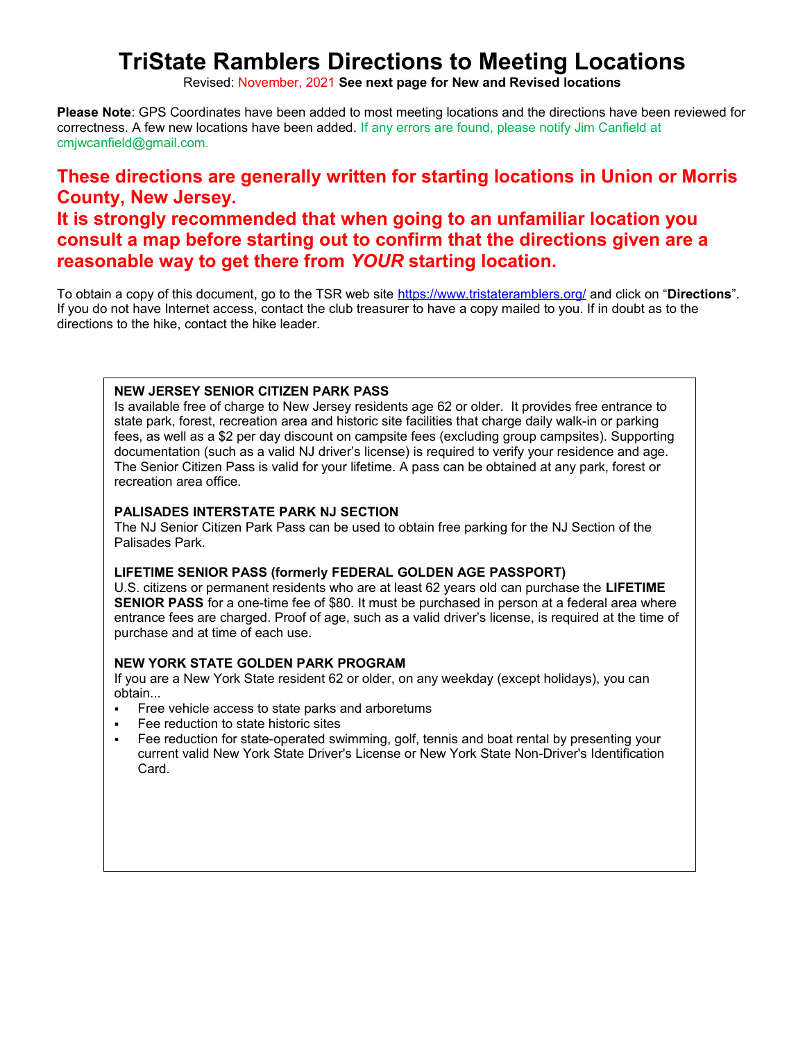# **TriState Ramblers Directions to Meeting Locations**

Revised: November, 2021 **See next page for New and Revised locations**

**Please Note**: GPS Coordinates have been added to most meeting locations and the directions have been reviewed for correctness. A few new locations have been added. If any errors are found, please notify Jim Canfield at cmjwcanfield@gmail.com.

# **These directions are generally written for starting locations in Union or Morris County, New Jersey.**

## **It is strongly recommended that when going to an unfamiliar location you consult a map before starting out to confirm that the directions given are a reasonable way to get there from** *YOUR* **starting location.**

To obtain a copy of this document, go to the TSR web site https://www.tristateramblers.org/ and click on "**Directions**". If you do not have Internet access, contact the club treasurer to have a copy mailed to you. If in doubt as to the directions to the hike, contact the hike leader.

#### **NEW JERSEY SENIOR CITIZEN PARK PASS**

Is available free of charge to New Jersey residents age 62 or older. It provides free entrance to state park, forest, recreation area and historic site facilities that charge daily walk-in or parking fees, as well as a \$2 per day discount on campsite fees (excluding group campsites). Supporting documentation (such as a valid NJ driver's license) is required to verify your residence and age. The Senior Citizen Pass is valid for your lifetime. A pass can be obtained at any park, forest or recreation area office.

#### **PALISADES INTERSTATE PARK NJ SECTION**

The NJ Senior Citizen Park Pass can be used to obtain free parking for the NJ Section of the Palisades Park.

#### **LIFETIME SENIOR PASS (formerly FEDERAL GOLDEN AGE PASSPORT)**

U.S. citizens or permanent residents who are at least 62 years old can purchase the **LIFETIME SENIOR PASS** for a one-time fee of \$80. It must be purchased in person at a federal area where entrance fees are charged. Proof of age, such as a valid driver's license, is required at the time of purchase and at time of each use.

#### **NEW YORK STATE GOLDEN PARK PROGRAM**

If you are a New York State resident 62 or older, on any weekday (except holidays), you can obtain...

- Free vehicle access to state parks and arboretums
- Fee reduction to state historic sites
- Fee reduction for state-operated swimming, golf, tennis and boat rental by presenting your current valid New York State Driver's License or New York State Non-Driver's Identification Card.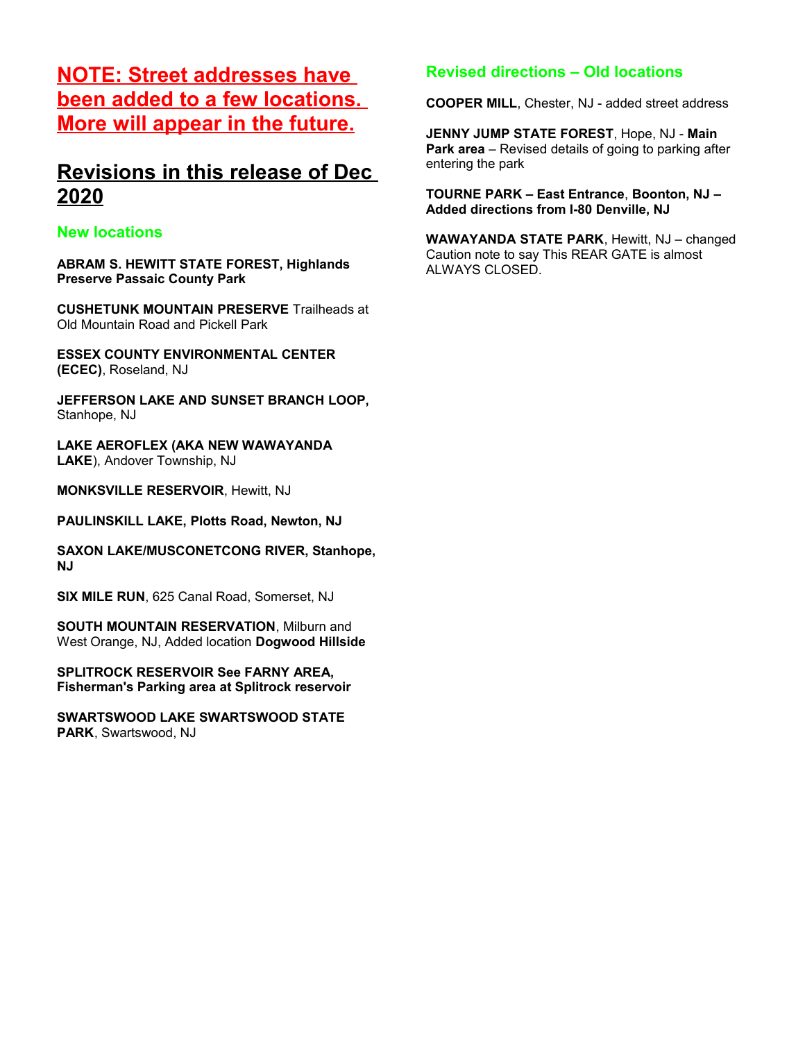# **NOTE: Street addresses have been added to a few locations. More will appear in the future.**

## **Revisions in this release of Dec 2020**

### **New locations**

**ABRAM S. HEWITT STATE FOREST, Highlands Preserve Passaic County Park**

**CUSHETUNK MOUNTAIN PRESERVE** Trailheads at Old Mountain Road and Pickell Park

**ESSEX COUNTY ENVIRONMENTAL CENTER (ECEC)**, Roseland, NJ

**JEFFERSON LAKE AND SUNSET BRANCH LOOP,** Stanhope, NJ

**LAKE AEROFLEX (AKA NEW WAWAYANDA LAKE**), Andover Township, NJ

**MONKSVILLE RESERVOIR**, Hewitt, NJ

**PAULINSKILL LAKE, Plotts Road, Newton, NJ**

**SAXON LAKE/MUSCONETCONG RIVER, Stanhope, NJ**

**SIX MILE RUN**, 625 Canal Road, Somerset, NJ

**SOUTH MOUNTAIN RESERVATION**, Milburn and West Orange, NJ, Added location **Dogwood Hillside**

**SPLITROCK RESERVOIR See FARNY AREA, Fisherman's Parking area at Splitrock reservoir**

**SWARTSWOOD LAKE SWARTSWOOD STATE PARK**, Swartswood, NJ

## **Revised directions – Old locations**

**COOPER MILL**, Chester, NJ - added street address

**JENNY JUMP STATE FOREST**, Hope, NJ - **Main Park area** – Revised details of going to parking after entering the park

**TOURNE PARK – East Entrance**, **Boonton, NJ – Added directions from I-80 Denville, NJ**

**WAWAYANDA STATE PARK**, Hewitt, NJ – changed Caution note to say This REAR GATE is almost ALWAYS CLOSED.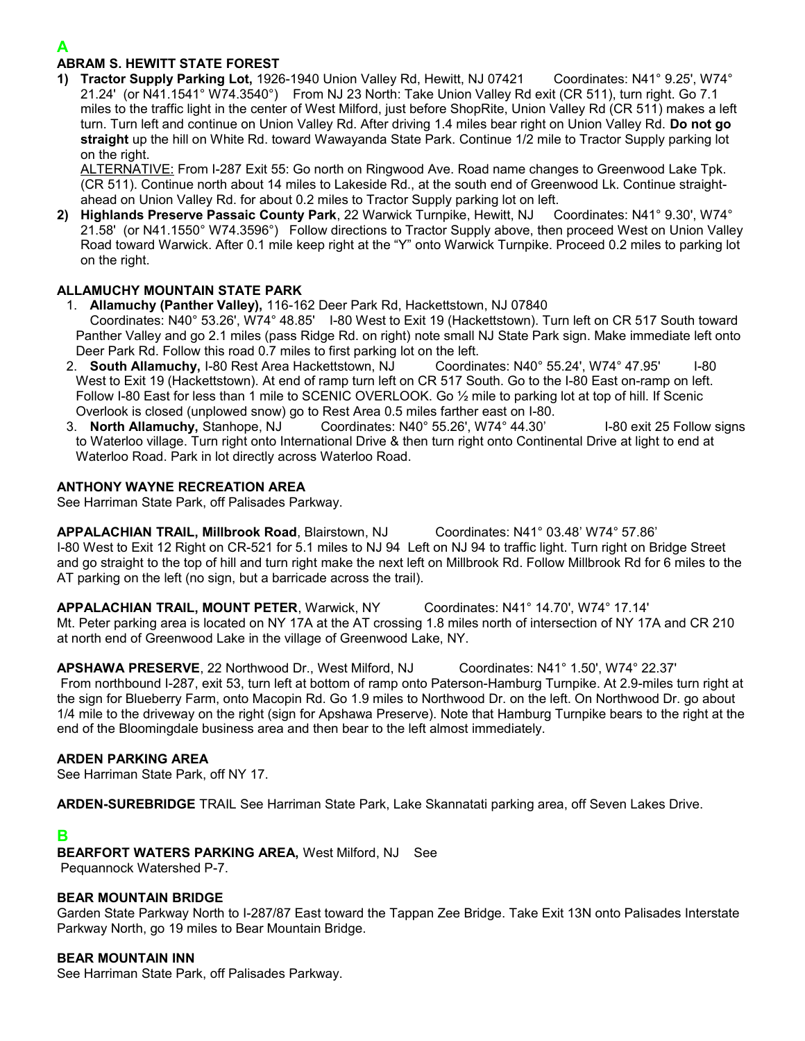#### **ABRAM S. HEWITT STATE FOREST**

**1) Tractor Supply Parking Lot,** 1926-1940 Union Valley Rd, Hewitt, NJ 07421 Coordinates: N41° 9.25', W74° 21.24' (or N41.1541° W74.3540°) From NJ 23 North: Take Union Valley Rd exit (CR 511), turn right. Go 7.1 miles to the traffic light in the center of West Milford, just before ShopRite, Union Valley Rd (CR 511) makes a left turn. Turn left and continue on Union Valley Rd. After driving 1.4 miles bear right on Union Valley Rd. **Do not go straight** up the hill on White Rd. toward Wawayanda State Park. Continue 1/2 mile to Tractor Supply parking lot on the right.

ALTERNATIVE: From I-287 Exit 55: Go north on Ringwood Ave. Road name changes to Greenwood Lake Tpk. (CR 511). Continue north about 14 miles to Lakeside Rd., at the south end of Greenwood Lk. Continue straightahead on Union Valley Rd. for about 0.2 miles to Tractor Supply parking lot on left.

**2) Highlands Preserve Passaic County Park**, 22 Warwick Turnpike, Hewitt, NJ Coordinates: N41° 9.30', W74° 21.58' (or N41.1550° W74.3596°) Follow directions to Tractor Supply above, then proceed West on Union Valley Road toward Warwick. After 0.1 mile keep right at the "Y" onto Warwick Turnpike. Proceed 0.2 miles to parking lot on the right.

#### **ALLAMUCHY MOUNTAIN STATE PARK**

- 1. **Allamuchy (Panther Valley),** 116-162 Deer Park Rd, Hackettstown, NJ 07840 Coordinates: N40° 53.26', W74° 48.85' I-80 West to Exit 19 (Hackettstown). Turn left on CR 517 South toward Panther Valley and go 2.1 miles (pass Ridge Rd. on right) note small NJ State Park sign. Make immediate left onto Deer Park Rd. Follow this road 0.7 miles to first parking lot on the left.
- 2. **South Allamuchy,** I-80 Rest Area Hackettstown, NJ Coordinates: N40° 55.24', W74° 47.95' I-80 West to Exit 19 (Hackettstown). At end of ramp turn left on CR 517 South. Go to the I-80 East on-ramp on left. Follow I-80 East for less than 1 mile to SCENIC OVERLOOK. Go ½ mile to parking lot at top of hill. If Scenic Overlook is closed (unplowed snow) go to Rest Area 0.5 miles farther east on I-80.
- 3. **North Allamuchy,** Stanhope, NJ Coordinates: N40° 55.26', W74° 44.30' I-80 exit 25 Follow signs to Waterloo village. Turn right onto International Drive & then turn right onto Continental Drive at light to end at Waterloo Road. Park in lot directly across Waterloo Road.

#### **ANTHONY WAYNE RECREATION AREA**

See Harriman State Park, off Palisades Parkway.

**APPALACHIAN TRAIL, Millbrook Road**, Blairstown, NJ Coordinates: N41° 03.48' W74° 57.86' I-80 West to Exit 12 Right on CR-521 for 5.1 miles to NJ 94 Left on NJ 94 to traffic light. Turn right on Bridge Street and go straight to the top of hill and turn right make the next left on Millbrook Rd. Follow Millbrook Rd for 6 miles to the AT parking on the left (no sign, but a barricade across the trail).

**APPALACHIAN TRAIL, MOUNT PETER**, Warwick, NY Coordinates: N41° 14.70', W74° 17.14' Mt. Peter parking area is located on NY 17A at the AT crossing 1.8 miles north of intersection of NY 17A and CR 210 at north end of Greenwood Lake in the village of Greenwood Lake, NY.

**APSHAWA PRESERVE**, 22 Northwood Dr., West Milford, NJ Coordinates: N41° 1.50', W74° 22.37' From northbound I-287, exit 53, turn left at bottom of ramp onto Paterson-Hamburg Turnpike. At 2.9-miles turn right at the sign for Blueberry Farm, onto Macopin Rd. Go 1.9 miles to Northwood Dr. on the left. On Northwood Dr. go about 1/4 mile to the driveway on the right (sign for Apshawa Preserve). Note that Hamburg Turnpike bears to the right at the end of the Bloomingdale business area and then bear to the left almost immediately.

#### **ARDEN PARKING AREA**

See Harriman State Park, off NY 17.

**ARDEN-SUREBRIDGE** TRAIL See Harriman State Park, Lake Skannatati parking area, off Seven Lakes Drive.

#### **B**

**BEARFORT WATERS PARKING AREA,** West Milford, NJ See Pequannock Watershed P-7.

#### **BEAR MOUNTAIN BRIDGE**

Garden State Parkway North to I-287/87 East toward the Tappan Zee Bridge. Take Exit 13N onto Palisades Interstate Parkway North, go 19 miles to Bear Mountain Bridge.

#### **BEAR MOUNTAIN INN**

See Harriman State Park, off Palisades Parkway.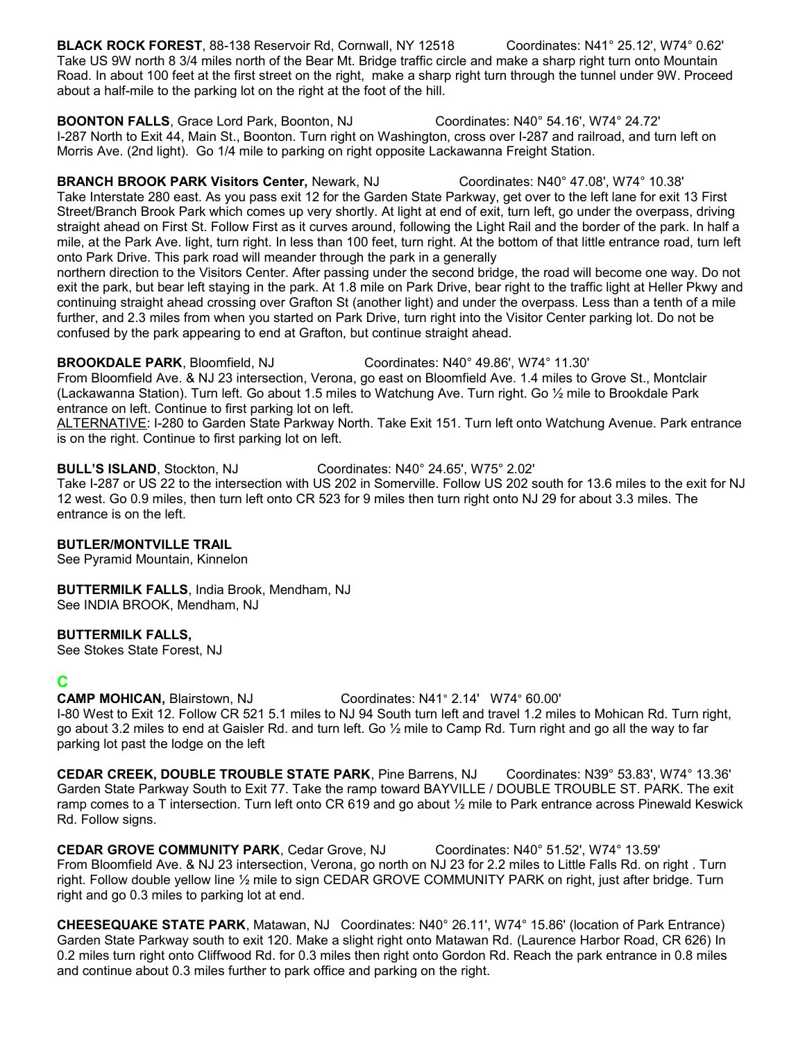**BLACK ROCK FOREST**, 88-138 Reservoir Rd, Cornwall, NY 12518 Coordinates: N41° 25.12', W74° 0.62' Take US 9W north 8 3/4 miles north of the Bear Mt. Bridge traffic circle and make a sharp right turn onto Mountain Road. In about 100 feet at the first street on the right, make a sharp right turn through the tunnel under 9W. Proceed about a half-mile to the parking lot on the right at the foot of the hill.

**BOONTON FALLS**, Grace Lord Park, Boonton, NJ Coordinates: N40° 54.16', W74° 24.72' I-287 North to Exit 44, Main St., Boonton. Turn right on Washington, cross over I-287 and railroad, and turn left on Morris Ave. (2nd light). Go 1/4 mile to parking on right opposite Lackawanna Freight Station.

**BRANCH BROOK PARK Visitors Center,** Newark, NJ Coordinates: N40° 47.08', W74° 10.38' Take Interstate 280 east. As you pass exit 12 for the Garden State Parkway, get over to the left lane for exit 13 First Street/Branch Brook Park which comes up very shortly. At light at end of exit, turn left, go under the overpass, driving straight ahead on First St. Follow First as it curves around, following the Light Rail and the border of the park. In half a mile, at the Park Ave. light, turn right. In less than 100 feet, turn right. At the bottom of that little entrance road, turn left onto Park Drive. This park road will meander through the park in a generally

northern direction to the Visitors Center. After passing under the second bridge, the road will become one way. Do not exit the park, but bear left staying in the park. At 1.8 mile on Park Drive, bear right to the traffic light at Heller Pkwy and continuing straight ahead crossing over Grafton St (another light) and under the overpass. Less than a tenth of a mile further, and 2.3 miles from when you started on Park Drive, turn right into the Visitor Center parking lot. Do not be confused by the park appearing to end at Grafton, but continue straight ahead.

**BROOKDALE PARK**, Bloomfield, NJ Coordinates: N40° 49.86', W74° 11.30' From Bloomfield Ave. & NJ 23 intersection, Verona, go east on Bloomfield Ave. 1.4 miles to Grove St., Montclair

(Lackawanna Station). Turn left. Go about 1.5 miles to Watchung Ave. Turn right. Go ½ mile to Brookdale Park entrance on left. Continue to first parking lot on left.

ALTERNATIVE: I-280 to Garden State Parkway North. Take Exit 151. Turn left onto Watchung Avenue. Park entrance is on the right. Continue to first parking lot on left.

### **BULL'S ISLAND**, Stockton, NJ Coordinates: N40° 24.65', W75° 2.02'

Take I-287 or US 22 to the intersection with US 202 in Somerville. Follow US 202 south for 13.6 miles to the exit for NJ 12 west. Go 0.9 miles, then turn left onto CR 523 for 9 miles then turn right onto NJ 29 for about 3.3 miles. The entrance is on the left.

### **BUTLER/MONTVILLE TRAIL**

See Pyramid Mountain, Kinnelon

**BUTTERMILK FALLS**, India Brook, Mendham, NJ See INDIA BROOK, Mendham, NJ

#### **BUTTERMILK FALLS,**

See Stokes State Forest, NJ

## **C**

**CAMP MOHICAN,** Blairstown, NJ Coordinates: N41° 2.14' W74° 60.00'

I-80 West to Exit 12. Follow CR 521 5.1 miles to NJ 94 South turn left and travel 1.2 miles to Mohican Rd. Turn right, go about 3.2 miles to end at Gaisler Rd. and turn left. Go  $\frac{1}{2}$  mile to Camp Rd. Turn right and go all the way to far parking lot past the lodge on the left

**CEDAR CREEK, DOUBLE TROUBLE STATE PARK**, Pine Barrens, NJ Coordinates: N39° 53.83', W74° 13.36' Garden State Parkway South to Exit 77. Take the ramp toward BAYVILLE / DOUBLE TROUBLE ST. PARK. The exit ramp comes to a T intersection. Turn left onto CR 619 and go about ½ mile to Park entrance across Pinewald Keswick Rd. Follow signs.

**CEDAR GROVE COMMUNITY PARK**, Cedar Grove, NJ Coordinates: N40° 51.52', W74° 13.59' From Bloomfield Ave. & NJ 23 intersection, Verona, go north on NJ 23 for 2.2 miles to Little Falls Rd. on right . Turn right. Follow double yellow line ½ mile to sign CEDAR GROVE COMMUNITY PARK on right, just after bridge. Turn right and go 0.3 miles to parking lot at end.

**CHEESEQUAKE STATE PARK**, Matawan, NJ Coordinates: N40° 26.11', W74° 15.86' (location of Park Entrance) Garden State Parkway south to exit 120. Make a slight right onto Matawan Rd. (Laurence Harbor Road, CR 626) In 0.2 miles turn right onto Cliffwood Rd. for 0.3 miles then right onto Gordon Rd. Reach the park entrance in 0.8 miles and continue about 0.3 miles further to park office and parking on the right.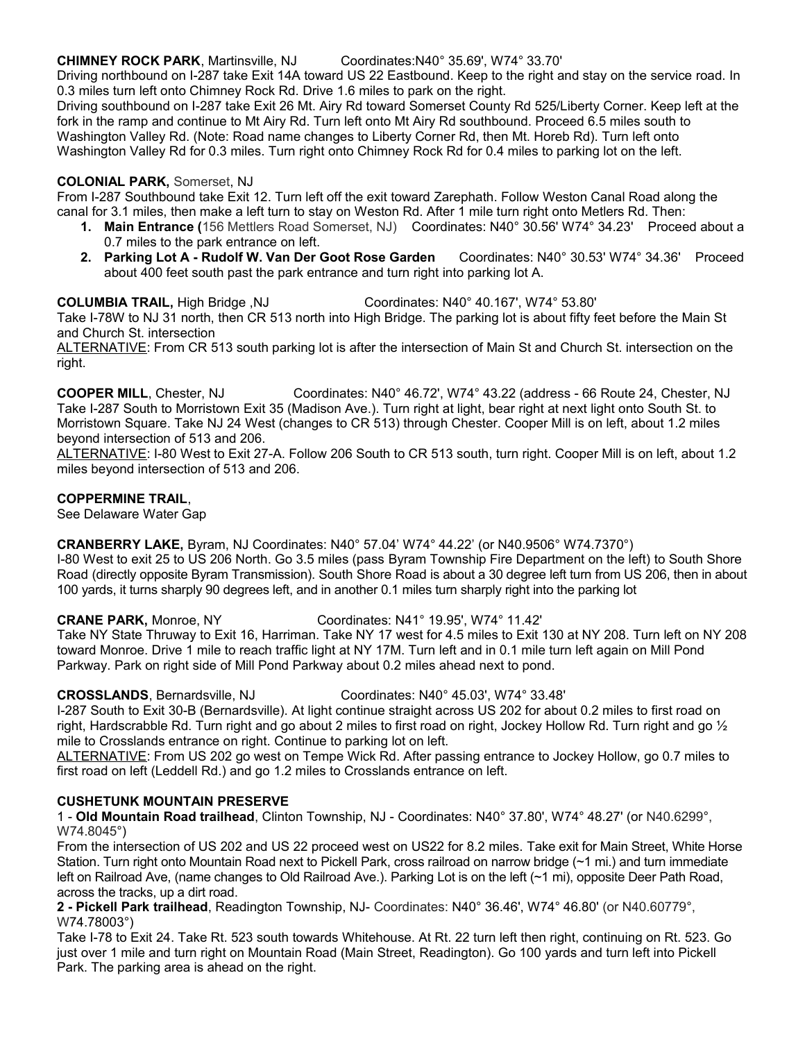#### **CHIMNEY ROCK PARK**, Martinsville, NJ Coordinates:N40° 35.69', W74° 33.70'

Driving northbound on I-287 take Exit 14A toward US 22 Eastbound. Keep to the right and stay on the service road. In 0.3 miles turn left onto Chimney Rock Rd. Drive 1.6 miles to park on the right.

Driving southbound on I-287 take Exit 26 Mt. Airy Rd toward Somerset County Rd 525/Liberty Corner. Keep left at the fork in the ramp and continue to Mt Airy Rd. Turn left onto Mt Airy Rd southbound. Proceed 6.5 miles south to Washington Valley Rd. (Note: Road name changes to Liberty Corner Rd, then Mt. Horeb Rd). Turn left onto Washington Valley Rd for 0.3 miles. Turn right onto Chimney Rock Rd for 0.4 miles to parking lot on the left.

#### **COLONIAL PARK,** Somerset, NJ

From I-287 Southbound take Exit 12. Turn left off the exit toward Zarephath. Follow Weston Canal Road along the canal for 3.1 miles, then make a left turn to stay on Weston Rd. After 1 mile turn right onto Metlers Rd. Then:

- **1. Main Entrance (**156 Mettlers Road Somerset, NJ) Coordinates: N40° 30.56' W74° 34.23' Proceed about a 0.7 miles to the park entrance on left.
- **2. Parking Lot A Rudolf W. Van Der Goot Rose Garden** Coordinates: N40° 30.53' W74° 34.36' Proceed about 400 feet south past the park entrance and turn right into parking lot A.

**COLUMBIA TRAIL,** High Bridge ,NJ Coordinates: N40° 40.167', W74° 53.80'

Take I-78W to NJ 31 north, then CR 513 north into High Bridge. The parking lot is about fifty feet before the Main St and Church St. intersection

ALTERNATIVE: From CR 513 south parking lot is after the intersection of Main St and Church St. intersection on the right.

**COOPER MILL**, Chester, NJ Coordinates: N40° 46.72', W74° 43.22 (address - 66 Route 24, Chester, NJ Take I-287 South to Morristown Exit 35 (Madison Ave.). Turn right at light, bear right at next light onto South St. to Morristown Square. Take NJ 24 West (changes to CR 513) through Chester. Cooper Mill is on left, about 1.2 miles beyond intersection of 513 and 206.

ALTERNATIVE: I-80 West to Exit 27-A. Follow 206 South to CR 513 south, turn right. Cooper Mill is on left, about 1.2 miles beyond intersection of 513 and 206.

#### **COPPERMINE TRAIL**,

See Delaware Water Gap

**CRANBERRY LAKE,** Byram, NJ Coordinates: N40° 57.04' W74° 44.22' (or N40.9506° W74.7370°) I-80 West to exit 25 to US 206 North. Go 3.5 miles (pass Byram Township Fire Department on the left) to South Shore Road (directly opposite Byram Transmission). South Shore Road is about a 30 degree left turn from US 206, then in about 100 yards, it turns sharply 90 degrees left, and in another 0.1 miles turn sharply right into the parking lot

**CRANE PARK,** Monroe, NY Coordinates: N41° 19.95', W74° 11.42'

Take NY State Thruway to Exit 16, Harriman. Take NY 17 west for 4.5 miles to Exit 130 at NY 208. Turn left on NY 208 toward Monroe. Drive 1 mile to reach traffic light at NY 17M. Turn left and in 0.1 mile turn left again on Mill Pond Parkway. Park on right side of Mill Pond Parkway about 0.2 miles ahead next to pond.

**CROSSLANDS**, Bernardsville, NJ Coordinates: N40° 45.03', W74° 33.48'

I-287 South to Exit 30-B (Bernardsville). At light continue straight across US 202 for about 0.2 miles to first road on right, Hardscrabble Rd. Turn right and go about 2 miles to first road on right, Jockey Hollow Rd. Turn right and go  $\frac{1}{2}$ mile to Crosslands entrance on right. Continue to parking lot on left.

ALTERNATIVE: From US 202 go west on Tempe Wick Rd. After passing entrance to Jockey Hollow, go 0.7 miles to first road on left (Leddell Rd.) and go 1.2 miles to Crosslands entrance on left.

#### **CUSHETUNK MOUNTAIN PRESERVE**

1 - **Old Mountain Road trailhead**, Clinton Township, NJ - Coordinates: N40° 37.80', W74° 48.27' (or N40.6299°, W74.8045°)

From the intersection of US 202 and US 22 proceed west on US22 for 8.2 miles. Take exit for Main Street, White Horse Station. Turn right onto Mountain Road next to Pickell Park, cross railroad on narrow bridge (~1 mi.) and turn immediate left on Railroad Ave, (name changes to Old Railroad Ave.). Parking Lot is on the left (~1 mi), opposite Deer Path Road, across the tracks, up a dirt road.

**2 - Pickell Park trailhead**, Readington Township, NJ- Coordinates: N40° 36.46', W74° 46.80' (or N40.60779°, W74.78003°)

Take I-78 to Exit 24. Take Rt. 523 south towards Whitehouse. At Rt. 22 turn left then right, continuing on Rt. 523. Go just over 1 mile and turn right on Mountain Road (Main Street, Readington). Go 100 yards and turn left into Pickell Park. The parking area is ahead on the right.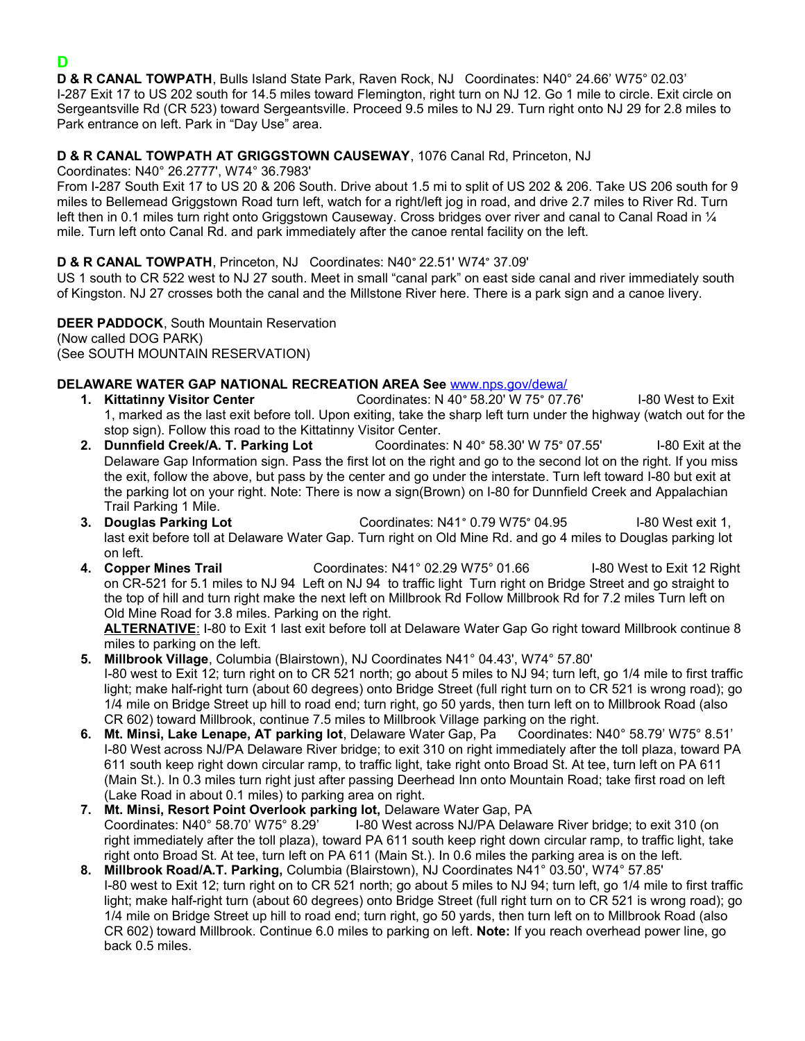## **D**

**D & R CANAL TOWPATH**, Bulls Island State Park, Raven Rock, NJ Coordinates: N40° 24.66' W75° 02.03' I-287 Exit 17 to US 202 south for 14.5 miles toward Flemington, right turn on NJ 12. Go 1 mile to circle. Exit circle on Sergeantsville Rd (CR 523) toward Sergeantsville. Proceed 9.5 miles to NJ 29. Turn right onto NJ 29 for 2.8 miles to Park entrance on left. Park in "Day Use" area.

### **D & R CANAL TOWPATH AT GRIGGSTOWN CAUSEWAY**, 1076 Canal Rd, Princeton, NJ

Coordinates: N40° 26.2777', W74° 36.7983'

From I-287 South Exit 17 to US 20 & 206 South. Drive about 1.5 mi to split of US 202 & 206. Take US 206 south for 9 miles to Bellemead Griggstown Road turn left, watch for a right/left jog in road, and drive 2.7 miles to River Rd. Turn left then in 0.1 miles turn right onto Griggstown Causeway. Cross bridges over river and canal to Canal Road in 1/4 mile. Turn left onto Canal Rd. and park immediately after the canoe rental facility on the left.

### **D & R CANAL TOWPATH**, Princeton, NJ Coordinates: N40° 22.51' W74° 37.09'

US 1 south to CR 522 west to NJ 27 south. Meet in small "canal park" on east side canal and river immediately south of Kingston. NJ 27 crosses both the canal and the Millstone River here. There is a park sign and a canoe livery.

**DEER PADDOCK**, South Mountain Reservation (Now called DOG PARK) (See SOUTH MOUNTAIN RESERVATION)

### **DELAWARE WATER GAP NATIONAL RECREATION AREA See** [www.nps.gov/dewa/](http://www.nps.gov/dewa/)

- **1. Kittatinny Visitor Center** Coordinates: N 40° 58.20' W 75° 07.76' I-80 West to Exit 1, marked as the last exit before toll. Upon exiting, take the sharp left turn under the highway (watch out for the stop sign). Follow this road to the Kittatinny Visitor Center.
- **2. Dunnfield Creek/A. T. Parking Lot** Coordinates: N 40° 58.30' W 75° 07.55' I-80 Exit at the Delaware Gap Information sign. Pass the first lot on the right and go to the second lot on the right. If you miss the exit, follow the above, but pass by the center and go under the interstate. Turn left toward I-80 but exit at the parking lot on your right. Note: There is now a sign(Brown) on I-80 for Dunnfield Creek and Appalachian Trail Parking 1 Mile.
- **3. Douglas Parking Lot** Coordinates: N41° 0.79 W75° 04.95 I-80 West exit 1, last exit before toll at Delaware Water Gap. Turn right on Old Mine Rd. and go 4 miles to Douglas parking lot on left.
- **4. Copper Mines Trail** Coordinates: N41° 02.29 W75° 01.66 I-80 West to Exit 12 Right on CR-521 for 5.1 miles to NJ 94 Left on NJ 94 to traffic light Turn right on Bridge Street and go straight to the top of hill and turn right make the next left on Millbrook Rd Follow Millbrook Rd for 7.2 miles Turn left on Old Mine Road for 3.8 miles. Parking on the right.

 **ALTERNATIVE**: I-80 to Exit 1 last exit before toll at Delaware Water Gap Go right toward Millbrook continue 8 miles to parking on the left.

- **5. Millbrook Village**, Columbia (Blairstown), NJ Coordinates N41° 04.43', W74° 57.80' I-80 west to Exit 12; turn right on to CR 521 north; go about 5 miles to NJ 94; turn left, go 1/4 mile to first traffic light; make half-right turn (about 60 degrees) onto Bridge Street (full right turn on to CR 521 is wrong road); go 1/4 mile on Bridge Street up hill to road end; turn right, go 50 yards, then turn left on to Millbrook Road (also CR 602) toward Millbrook, continue 7.5 miles to Millbrook Village parking on the right.
- **6. Mt. Minsi, Lake Lenape, AT parking lot**, Delaware Water Gap, Pa Coordinates: N40° 58.79' W75° 8.51' I-80 West across NJ/PA Delaware River bridge; to exit 310 on right immediately after the toll plaza, toward PA 611 south keep right down circular ramp, to traffic light, take right onto Broad St. At tee, turn left on PA 611 (Main St.). In 0.3 miles turn right just after passing Deerhead Inn onto Mountain Road; take first road on left (Lake Road in about 0.1 miles) to parking area on right.
- **7. Mt. Minsi, Resort Point Overlook parking lot,** Delaware Water Gap, PA Coordinates: N40° 58.70' W75° 8.29' I-80 West across NJ/PA Delaware River bridge; to exit 310 (on right immediately after the toll plaza), toward PA 611 south keep right down circular ramp, to traffic light, take right onto Broad St. At tee, turn left on PA 611 (Main St.). In 0.6 miles the parking area is on the left.
- **8. Millbrook Road/A.T. Parking,** Columbia (Blairstown), NJ Coordinates N41° 03.50', W74° 57.85' I-80 west to Exit 12; turn right on to CR 521 north; go about 5 miles to NJ 94; turn left, go 1/4 mile to first traffic light; make half-right turn (about 60 degrees) onto Bridge Street (full right turn on to CR 521 is wrong road); go 1/4 mile on Bridge Street up hill to road end; turn right, go 50 yards, then turn left on to Millbrook Road (also CR 602) toward Millbrook. Continue 6.0 miles to parking on left. **Note:** If you reach overhead power line, go back 0.5 miles.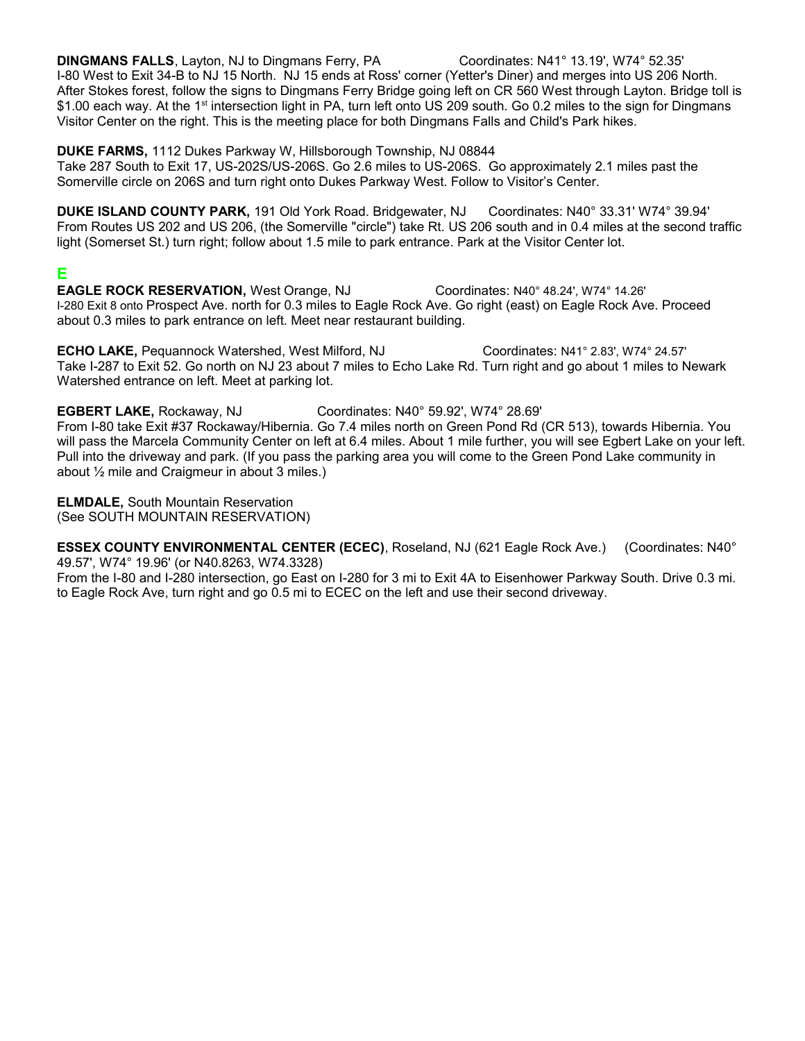**DINGMANS FALLS**, Layton, NJ to Dingmans Ferry, PA Coordinates: N41° 13.19', W74° 52.35' I-80 West to Exit 34-B to NJ 15 North. NJ 15 ends at Ross' corner (Yetter's Diner) and merges into US 206 North. After Stokes forest, follow the signs to Dingmans Ferry Bridge going left on CR 560 West through Layton. Bridge toll is \$1.00 each way. At the 1<sup>st</sup> intersection light in PA, turn left onto US 209 south. Go 0.2 miles to the sign for Dingmans Visitor Center on the right. This is the meeting place for both Dingmans Falls and Child's Park hikes.

**DUKE FARMS,** 1112 Dukes Parkway W, Hillsborough Township, NJ 08844

Take 287 South to Exit 17, US-202S/US-206S. Go 2.6 miles to US-206S. Go approximately 2.1 miles past the Somerville circle on 206S and turn right onto Dukes Parkway West. Follow to Visitor's Center.

**DUKE ISLAND COUNTY PARK,** 191 Old York Road. Bridgewater, NJ Coordinates: N40° 33.31' W74° 39.94' From Routes US 202 and US 206, (the Somerville "circle") take Rt. US 206 south and in 0.4 miles at the second traffic light (Somerset St.) turn right; follow about 1.5 mile to park entrance. Park at the Visitor Center lot.

## **E**

**EAGLE ROCK RESERVATION,** West Orange, NJ Coordinates: N40° 48.24', W74° 14.26' I-280 Exit 8 onto Prospect Ave. north for 0.3 miles to Eagle Rock Ave. Go right (east) on Eagle Rock Ave. Proceed about 0.3 miles to park entrance on left. Meet near restaurant building.

**ECHO LAKE,** Pequannock Watershed, West Milford, NJ Coordinates: N41° 2.83', W74° 24.57' Take I-287 to Exit 52. Go north on NJ 23 about 7 miles to Echo Lake Rd. Turn right and go about 1 miles to Newark Watershed entrance on left. Meet at parking lot.

**EGBERT LAKE,** Rockaway, NJ Coordinates: N40° 59.92', W74° 28.69' From I-80 take Exit #37 Rockaway/Hibernia. Go 7.4 miles north on Green Pond Rd (CR 513), towards Hibernia. You will pass the Marcela Community Center on left at 6.4 miles. About 1 mile further, you will see Egbert Lake on your left. Pull into the driveway and park. (If you pass the parking area you will come to the Green Pond Lake community in about ½ mile and Craigmeur in about 3 miles.)

**ELMDALE,** South Mountain Reservation (See SOUTH MOUNTAIN RESERVATION)

**ESSEX COUNTY ENVIRONMENTAL CENTER (ECEC)**, Roseland, NJ (621 Eagle Rock Ave.) (Coordinates: N40° 49.57', W74° 19.96' (or N40.8263, W74.3328)

From the I-80 and I-280 intersection, go East on I-280 for 3 mi to Exit 4A to Eisenhower Parkway South. Drive 0.3 mi. to Eagle Rock Ave, turn right and go 0.5 mi to ECEC on the left and use their second driveway.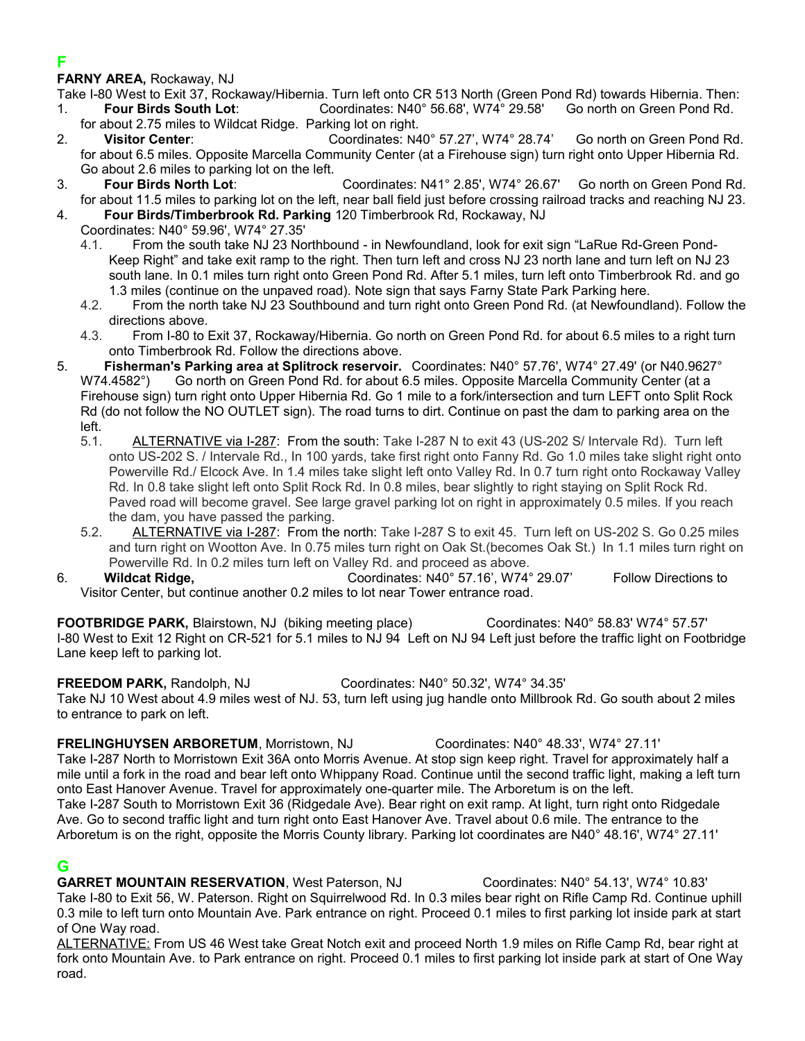## **F**

**FARNY AREA,** Rockaway, NJ

Take I-80 West to Exit 37, Rockaway/Hibernia. Turn left onto CR 513 North (Green Pond Rd) towards Hibernia. Then:<br>1. **Four Birds South Lot**: Coordinates: N40° 56.68'. W74° 29.58' Go north on Green Pond Rd. 1. **Four Birds South Lot**: Coordinates: N40° 56.68', W74° 29.58'

- for about 2.75 miles to Wildcat Ridge. Parking lot on right.
- 2. **Visitor Center**: Coordinates: N40° 57.27', W74° 28.74' Go north on Green Pond Rd. for about 6.5 miles. Opposite Marcella Community Center (at a Firehouse sign) turn right onto Upper Hibernia Rd. Go about 2.6 miles to parking lot on the left.
- 3. **Four Birds North Lot**: Coordinates: N41° 2.85', W74° 26.67' Go north on Green Pond Rd. for about 11.5 miles to parking lot on the left, near ball field just before crossing railroad tracks and reaching NJ 23.

4. **Four Birds/Timberbrook Rd. Parking** 120 Timberbrook Rd, Rockaway, NJ

- Coordinates: N40° 59.96', W74° 27.35'
	- 4.1. From the south take NJ 23 Northbound in Newfoundland, look for exit sign "LaRue Rd-Green Pond-Keep Right" and take exit ramp to the right. Then turn left and cross NJ 23 north lane and turn left on NJ 23 south lane. In 0.1 miles turn right onto Green Pond Rd. After 5.1 miles, turn left onto Timberbrook Rd. and go 1.3 miles (continue on the unpaved road). Note sign that says Farny State Park Parking here.
	- 4.2. From the north take NJ 23 Southbound and turn right onto Green Pond Rd. (at Newfoundland). Follow the directions above.
	- 4.3. From I-80 to Exit 37, Rockaway/Hibernia. Go north on Green Pond Rd. for about 6.5 miles to a right turn onto Timberbrook Rd. Follow the directions above.
- 5. **Fisherman's Parking area at Splitrock reservoir.** Coordinates: N40° 57.76', W74° 27.49' (or N40.9627° W74.4582°) Go north on Green Pond Rd. for about 6.5 miles. Opposite Marcella Community Center (at a Firehouse sign) turn right onto Upper Hibernia Rd. Go 1 mile to a fork/intersection and turn LEFT onto Split Rock Rd (do not follow the NO OUTLET sign). The road turns to dirt. Continue on past the dam to parking area on the left.
	- 5.1. ALTERNATIVE via I-287: From the south: Take I-287 N to exit 43 (US-202 S/ Intervale Rd). Turn left onto US-202 S. / Intervale Rd., In 100 yards, take first right onto Fanny Rd. Go 1.0 miles take slight right onto Powerville Rd./ Elcock Ave. In 1.4 miles take slight left onto Valley Rd. In 0.7 turn right onto Rockaway Valley Rd. In 0.8 take slight left onto Split Rock Rd. In 0.8 miles, bear slightly to right staying on Split Rock Rd. Paved road will become gravel. See large gravel parking lot on right in approximately 0.5 miles. If you reach the dam, you have passed the parking.
	- 5.2. ALTERNATIVE via I-287: From the north: Take I-287 S to exit 45. Turn left on US-202 S. Go 0.25 miles and turn right on Wootton Ave. In 0.75 miles turn right on Oak St.(becomes Oak St.) In 1.1 miles turn right on Powerville Rd. In 0.2 miles turn left on Valley Rd. and proceed as above.

6. **Wildcat Ridge,** Coordinates: N40° 57.16', W74° 29.07' Follow Directions to Visitor Center, but continue another 0.2 miles to lot near Tower entrance road.

**FOOTBRIDGE PARK,** Blairstown, NJ (biking meeting place) Coordinates: N40° 58.83' W74° 57.57' I-80 West to Exit 12 Right on CR-521 for 5.1 miles to NJ 94 Left on NJ 94 Left just before the traffic light on Footbridge Lane keep left to parking lot.

**FREEDOM PARK,** Randolph, NJ Coordinates: N40° 50.32', W74° 34.35' Take NJ 10 West about 4.9 miles west of NJ. 53, turn left using jug handle onto Millbrook Rd. Go south about 2 miles to entrance to park on left.

**FRELINGHUYSEN ARBORETUM**, Morristown, NJ Coordinates: N40° 48.33', W74° 27.11' Take I-287 North to Morristown Exit 36A onto Morris Avenue. At stop sign keep right. Travel for approximately half a mile until a fork in the road and bear left onto Whippany Road. Continue until the second traffic light, making a left turn onto East Hanover Avenue. Travel for approximately one-quarter mile. The Arboretum is on the left. Take I-287 South to Morristown Exit 36 (Ridgedale Ave). Bear right on exit ramp. At light, turn right onto Ridgedale Ave. Go to second traffic light and turn right onto East Hanover Ave. Travel about 0.6 mile. The entrance to the Arboretum is on the right, opposite the Morris County library. Parking lot coordinates are N40° 48.16', W74° 27.11'

## **G**

**GARRET MOUNTAIN RESERVATION**, West Paterson, NJ Coordinates: N40° 54.13', W74° 10.83' Take I-80 to Exit 56, W. Paterson. Right on Squirrelwood Rd. In 0.3 miles bear right on Rifle Camp Rd. Continue uphill 0.3 mile to left turn onto Mountain Ave. Park entrance on right. Proceed 0.1 miles to first parking lot inside park at start of One Way road.

ALTERNATIVE: From US 46 West take Great Notch exit and proceed North 1.9 miles on Rifle Camp Rd, bear right at fork onto Mountain Ave. to Park entrance on right. Proceed 0.1 miles to first parking lot inside park at start of One Way road.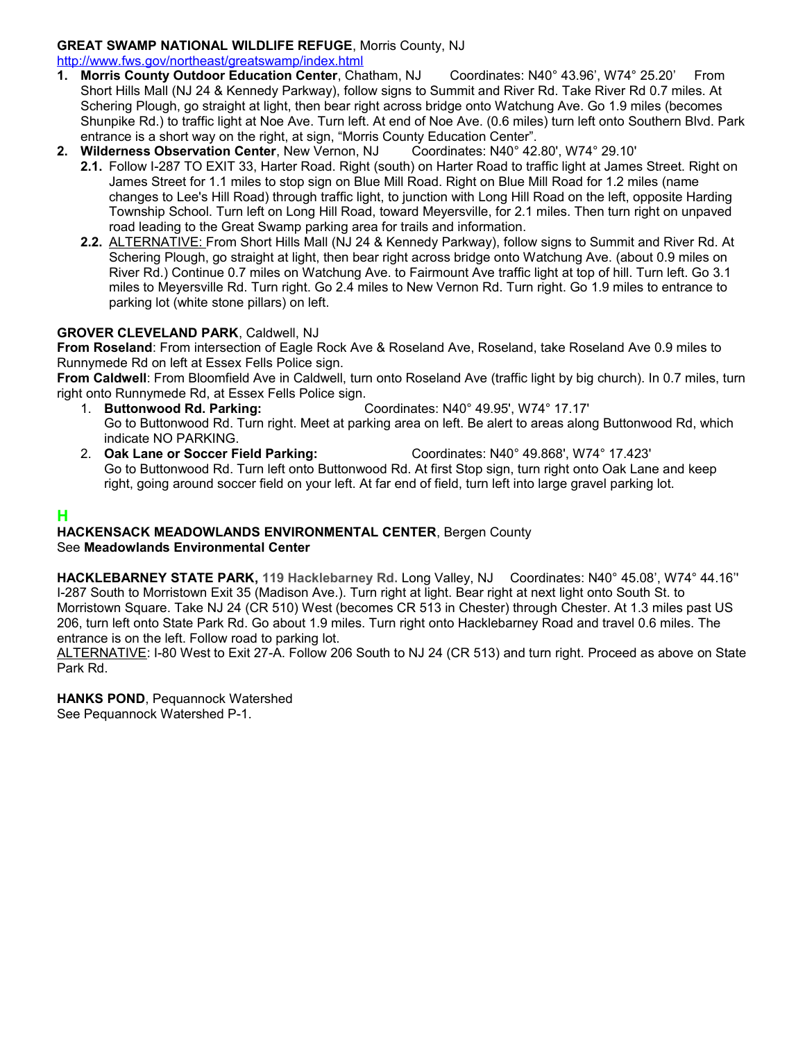### **GREAT SWAMP NATIONAL WILDLIFE REFUGE**, Morris County, NJ

<http://www.fws.gov/northeast/greatswamp/index.html>

- **1. Morris County Outdoor Education Center**, Chatham, NJ Coordinates: N40° 43.96', W74° 25.20' From Short Hills Mall (NJ 24 & Kennedy Parkway), follow signs to Summit and River Rd. Take River Rd 0.7 miles. At Schering Plough, go straight at light, then bear right across bridge onto Watchung Ave. Go 1.9 miles (becomes Shunpike Rd.) to traffic light at Noe Ave. Turn left. At end of Noe Ave. (0.6 miles) turn left onto Southern Blvd. Park entrance is a short way on the right, at sign, "Morris County Education Center".<br>Wilderness Observation Center, New Vernon, NJ Coordinates: N40° 42.80', W74° 29.10'
- **2. Wilderness Observation Center, New Vernon, NJ** 
	- **2.1.** Follow I-287 TO EXIT 33, Harter Road. Right (south) on Harter Road to traffic light at James Street. Right on James Street for 1.1 miles to stop sign on Blue Mill Road. Right on Blue Mill Road for 1.2 miles (name changes to Lee's Hill Road) through traffic light, to junction with Long Hill Road on the left, opposite Harding Township School. Turn left on Long Hill Road, toward Meyersville, for 2.1 miles. Then turn right on unpaved road leading to the Great Swamp parking area for trails and information.
	- **2.2.** ALTERNATIVE: From Short Hills Mall (NJ 24 & Kennedy Parkway), follow signs to Summit and River Rd. At Schering Plough, go straight at light, then bear right across bridge onto Watchung Ave. (about 0.9 miles on River Rd.) Continue 0.7 miles on Watchung Ave. to Fairmount Ave traffic light at top of hill. Turn left. Go 3.1 miles to Meyersville Rd. Turn right. Go 2.4 miles to New Vernon Rd. Turn right. Go 1.9 miles to entrance to parking lot (white stone pillars) on left.

#### **GROVER CLEVELAND PARK**, Caldwell, NJ

**From Roseland**: From intersection of Eagle Rock Ave & Roseland Ave, Roseland, take Roseland Ave 0.9 miles to Runnymede Rd on left at Essex Fells Police sign.

**From Caldwell**: From Bloomfield Ave in Caldwell, turn onto Roseland Ave (traffic light by big church). In 0.7 miles, turn right onto Runnymede Rd, at Essex Fells Police sign.

- 1. **Buttonwood Rd. Parking:** Coordinates: N40° 49.95', W74° 17.17' Go to Buttonwood Rd. Turn right. Meet at parking area on left. Be alert to areas along Buttonwood Rd, which indicate NO PARKING.
- 2. **Oak Lane or Soccer Field Parking:** Coordinates: N40° 49.868', W74° 17.423' Go to Buttonwood Rd. Turn left onto Buttonwood Rd. At first Stop sign, turn right onto Oak Lane and keep right, going around soccer field on your left. At far end of field, turn left into large gravel parking lot.

## **H**

#### **HACKENSACK MEADOWLANDS ENVIRONMENTAL CENTER**, Bergen County See **Meadowlands Environmental Center**

**HACKLEBARNEY STATE PARK, 119 Hacklebarney Rd.** Long Valley, NJ Coordinates: N40° 45.08', W74° 44.16'' I-287 South to Morristown Exit 35 (Madison Ave.). Turn right at light. Bear right at next light onto South St. to Morristown Square. Take NJ 24 (CR 510) West (becomes CR 513 in Chester) through Chester. At 1.3 miles past US 206, turn left onto State Park Rd. Go about 1.9 miles. Turn right onto Hacklebarney Road and travel 0.6 miles. The entrance is on the left. Follow road to parking lot.

ALTERNATIVE: I-80 West to Exit 27-A. Follow 206 South to NJ 24 (CR 513) and turn right. Proceed as above on State Park Rd.

**HANKS POND**, Pequannock Watershed See Pequannock Watershed P-1.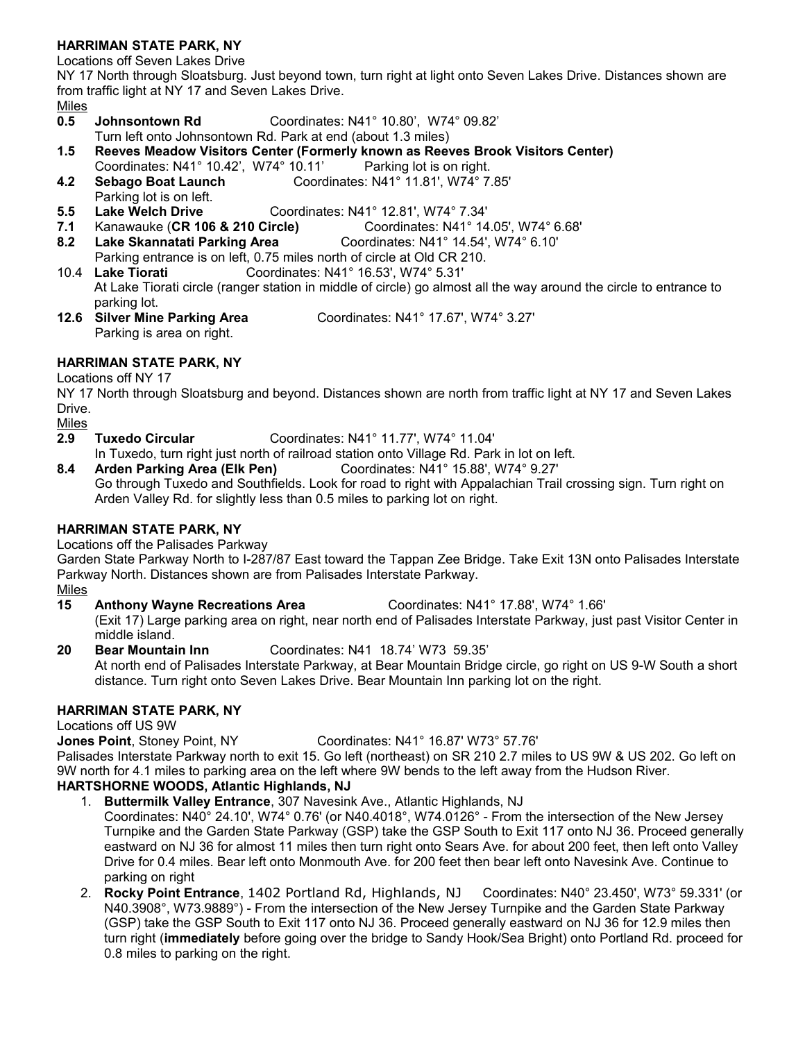### **HARRIMAN STATE PARK, NY**

Locations off Seven Lakes Drive

NY 17 North through Sloatsburg. Just beyond town, turn right at light onto Seven Lakes Drive. Distances shown are from traffic light at NY 17 and Seven Lakes Drive.

- Miles
- **0.5 Johnsontown Rd** Coordinates: N41° 10.80', W74° 09.82'
- Turn left onto Johnsontown Rd. Park at end (about 1.3 miles)
- **1.5 Reeves Meadow Visitors Center (Formerly known as Reeves Brook Visitors Center)**
- Coordinates: N41° 10.42', W74° 10.11' Parking lot is on right. **4.2 Sebago Boat Launch** Coordinates: N41° 11.81', W74° 7.85' Parking lot is on left.
- **5.5 Lake Welch Drive** Coordinates: N41° 12.81', W74° 7.34'
- **7.1** Kanawauke (**CR 106 & 210 Circle)** Coordinates: N41° 14.05', W74° 6.68'
- **8.2 Lake Skannatati Parking Area** Coordinates: N41° 14.54', W74° 6.10'
- Parking entrance is on left, 0.75 miles north of circle at Old CR 210.
- 10.4 **Lake Tiorati** Coordinates: N41° 16.53', W74° 5.31' At Lake Tiorati circle (ranger station in middle of circle) go almost all the way around the circle to entrance to parking lot.<br>**12.6 Silver Mine Parking Area**
- **12.6 Silver Mine Parking Area** Coordinates: N41° 17.67', W74° 3.27' Parking is area on right.

### **HARRIMAN STATE PARK, NY**

#### Locations off NY 17

NY 17 North through Sloatsburg and beyond. Distances shown are north from traffic light at NY 17 and Seven Lakes Drive.

Miles

- **2.9 Tuxedo Circular** Coordinates: N41° 11.77', W74° 11.04'
- In Tuxedo, turn right just north of railroad station onto Village Rd. Park in lot on left.
- **8.4 Arden Parking Area (Elk Pen)** Coordinates: N41° 15.88', W74° 9.27' Go through Tuxedo and Southfields. Look for road to right with Appalachian Trail crossing sign. Turn right on Arden Valley Rd. for slightly less than 0.5 miles to parking lot on right.

### **HARRIMAN STATE PARK, NY**

Locations off the Palisades Parkway

Garden State Parkway North to I-287/87 East toward the Tappan Zee Bridge. Take Exit 13N onto Palisades Interstate Parkway North. Distances shown are from Palisades Interstate Parkway.

Miles

- **15 Anthony Wayne Recreations Area** Coordinates: N41° 17.88', W74° 1.66'
- (Exit 17) Large parking area on right, near north end of Palisades Interstate Parkway, just past Visitor Center in middle island.
- **20 Bear Mountain Inn** Coordinates: N41 18.74' W73 59.35' At north end of Palisades Interstate Parkway, at Bear Mountain Bridge circle, go right on US 9-W South a short distance. Turn right onto Seven Lakes Drive. Bear Mountain Inn parking lot on the right.

## **HARRIMAN STATE PARK, NY**

Locations off US 9W

**Jones Point**, Stoney Point, NY Coordinates: N41° 16.87' W73° 57.76'

Palisades Interstate Parkway north to exit 15. Go left (northeast) on SR 210 2.7 miles to US 9W & US 202. Go left on 9W north for 4.1 miles to parking area on the left where 9W bends to the left away from the Hudson River.

## **HARTSHORNE WOODS, Atlantic Highlands, NJ**

- 1. **Buttermilk Valley Entrance**, 307 Navesink Ave., Atlantic Highlands, NJ
- Coordinates: N40° 24.10', W74° 0.76' (or N40.4018°, W74.0126° From the intersection of the New Jersey Turnpike and the Garden State Parkway (GSP) take the GSP South to Exit 117 onto NJ 36. Proceed generally eastward on NJ 36 for almost 11 miles then turn right onto Sears Ave. for about 200 feet, then left onto Valley Drive for 0.4 miles. Bear left onto Monmouth Ave. for 200 feet then bear left onto Navesink Ave. Continue to parking on right
- 2. **Rocky Point Entrance**, 1402 Portland Rd, Highlands, NJ Coordinates: N40° 23.450', W73° 59.331' (or N40.3908°, W73.9889°) - From the intersection of the New Jersey Turnpike and the Garden State Parkway (GSP) take the GSP South to Exit 117 onto NJ 36. Proceed generally eastward on NJ 36 for 12.9 miles then turn right (**immediately** before going over the bridge to Sandy Hook/Sea Bright) onto Portland Rd. proceed for 0.8 miles to parking on the right.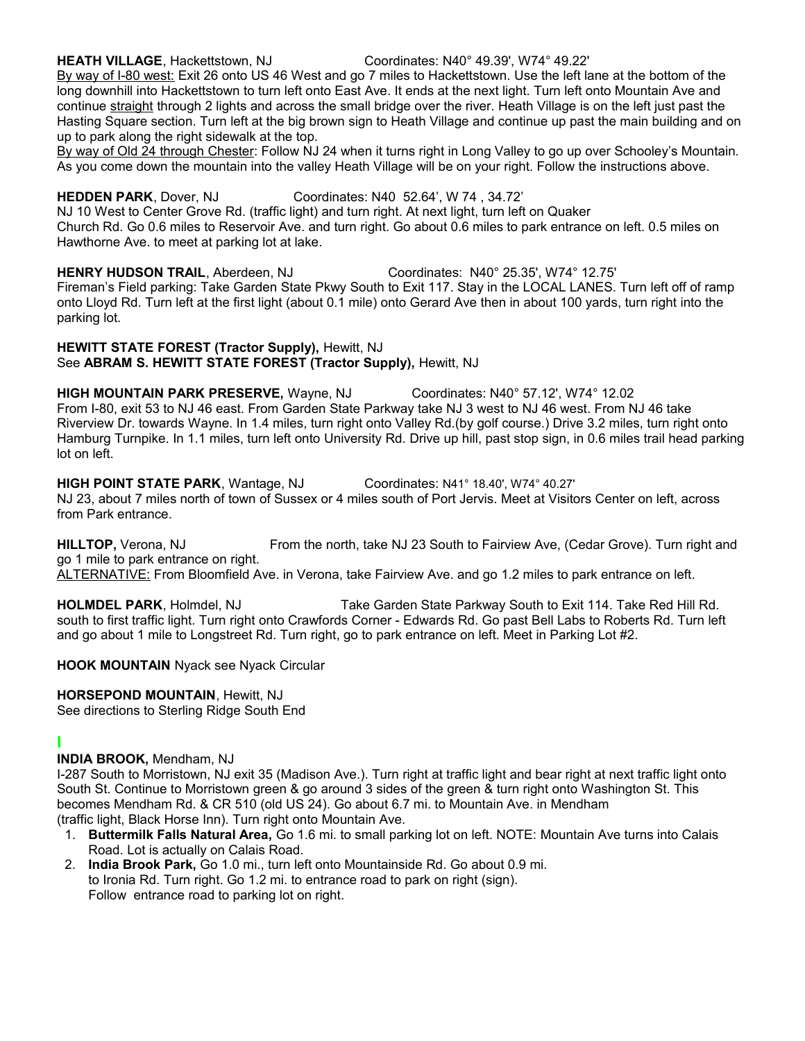#### **HEATH VILLAGE**, Hackettstown, NJ Coordinates: N40° 49.39', W74° 49.22' By way of I-80 west: Exit 26 onto US 46 West and go 7 miles to Hackettstown. Use the left lane at the bottom of the long downhill into Hackettstown to turn left onto East Ave. It ends at the next light. Turn left onto Mountain Ave and continue straight through 2 lights and across the small bridge over the river. Heath Village is on the left just past the Hasting Square section. Turn left at the big brown sign to Heath Village and continue up past the main building and on up to park along the right sidewalk at the top.

By way of Old 24 through Chester: Follow NJ 24 when it turns right in Long Valley to go up over Schooley's Mountain. As you come down the mountain into the valley Heath Village will be on your right. Follow the instructions above.

#### **HEDDEN PARK**, Dover, NJ Coordinates: N40 52.64', W 74 , 34.72'

NJ 10 West to Center Grove Rd. (traffic light) and turn right. At next light, turn left on Quaker Church Rd. Go 0.6 miles to Reservoir Ave. and turn right. Go about 0.6 miles to park entrance on left. 0.5 miles on Hawthorne Ave. to meet at parking lot at lake.

**HENRY HUDSON TRAIL**, Aberdeen, NJ Coordinates: N40° 25.35', W74° 12.75' Fireman's Field parking: Take Garden State Pkwy South to Exit 117. Stay in the LOCAL LANES. Turn left off of ramp onto Lloyd Rd. Turn left at the first light (about 0.1 mile) onto Gerard Ave then in about 100 yards, turn right into the parking lot.

#### **HEWITT STATE FOREST (Tractor Supply),** Hewitt, NJ See **ABRAM S. HEWITT STATE FOREST (Tractor Supply),** Hewitt, NJ

**HIGH MOUNTAIN PARK PRESERVE,** Wayne, NJ Coordinates: N40° 57.12', W74° 12.02 From I-80, exit 53 to NJ 46 east. From Garden State Parkway take NJ 3 west to NJ 46 west. From NJ 46 take Riverview Dr. towards Wayne. In 1.4 miles, turn right onto Valley Rd.(by golf course.) Drive 3.2 miles, turn right onto Hamburg Turnpike. In 1.1 miles, turn left onto University Rd. Drive up hill, past stop sign, in 0.6 miles trail head parking lot on left.

#### **HIGH POINT STATE PARK**, Wantage, NJ Coordinates: N41° 18.40', W74° 40.27'

NJ 23, about 7 miles north of town of Sussex or 4 miles south of Port Jervis. Meet at Visitors Center on left, across from Park entrance.

**HILLTOP,** Verona, NJ From the north, take NJ 23 South to Fairview Ave, (Cedar Grove). Turn right and go 1 mile to park entrance on right.

ALTERNATIVE: From Bloomfield Ave. in Verona, take Fairview Ave. and go 1.2 miles to park entrance on left.

**HOLMDEL PARK**, Holmdel, NJ Take Garden State Parkway South to Exit 114. Take Red Hill Rd. south to first traffic light. Turn right onto Crawfords Corner - Edwards Rd. Go past Bell Labs to Roberts Rd. Turn left and go about 1 mile to Longstreet Rd. Turn right, go to park entrance on left. Meet in Parking Lot #2.

**HOOK MOUNTAIN** Nyack see Nyack Circular

### **HORSEPOND MOUNTAIN**, Hewitt, NJ

See directions to Sterling Ridge South End

### **I**

### **INDIA BROOK,** Mendham, NJ

I-287 South to Morristown, NJ exit 35 (Madison Ave.). Turn right at traffic light and bear right at next traffic light onto South St. Continue to Morristown green & go around 3 sides of the green & turn right onto Washington St. This becomes Mendham Rd. & CR 510 (old US 24). Go about 6.7 mi. to Mountain Ave. in Mendham (traffic light, Black Horse Inn). Turn right onto Mountain Ave.

- 1. **Buttermilk Falls Natural Area,** Go 1.6 mi. to small parking lot on left. NOTE: Mountain Ave turns into Calais Road. Lot is actually on Calais Road.
- 2. **India Brook Park,** Go 1.0 mi., turn left onto Mountainside Rd. Go about 0.9 mi. to Ironia Rd. Turn right. Go 1.2 mi. to entrance road to park on right (sign). Follow entrance road to parking lot on right.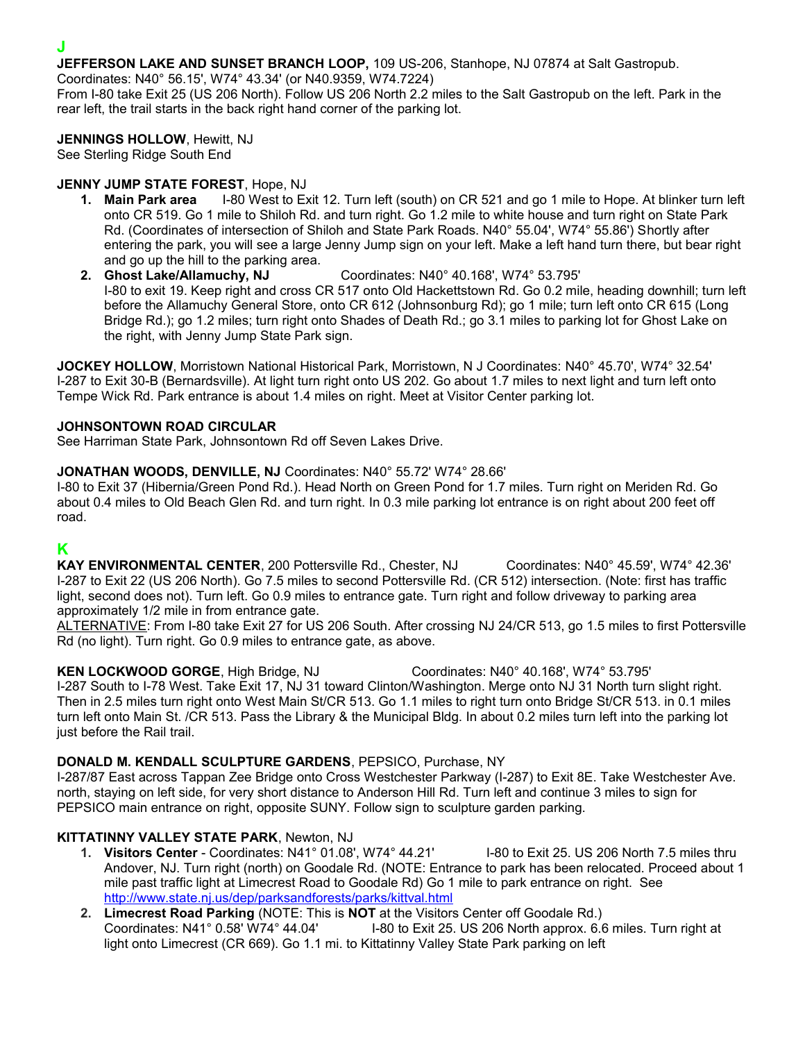**JEFFERSON LAKE AND SUNSET BRANCH LOOP,** 109 US-206, Stanhope, NJ 07874 at Salt Gastropub.

Coordinates: N40° 56.15', W74° 43.34' (or N40.9359, W74.7224)

From I-80 take Exit 25 (US 206 North). Follow US 206 North 2.2 miles to the Salt Gastropub on the left. Park in the rear left, the trail starts in the back right hand corner of the parking lot.

**JENNINGS HOLLOW**, Hewitt, NJ

See Sterling Ridge South End

### **JENNY JUMP STATE FOREST**, Hope, NJ

- **1. Main Park area** I-80 West to Exit 12. Turn left (south) on CR 521 and go 1 mile to Hope. At blinker turn left onto CR 519. Go 1 mile to Shiloh Rd. and turn right. Go 1.2 mile to white house and turn right on State Park Rd. (Coordinates of intersection of Shiloh and State Park Roads. N40° 55.04', W74° 55.86') Shortly after entering the park, you will see a large Jenny Jump sign on your left. Make a left hand turn there, but bear right
- and go up the hill to the parking area.<br>2. Ghost Lake/Allamuchy, NJ **2. Ghost Lake/Allamuchy, NJ** Coordinates: N40° 40.168', W74° 53.795' I-80 to exit 19. Keep right and cross CR 517 onto Old Hackettstown Rd. Go 0.2 mile, heading downhill; turn left before the Allamuchy General Store, onto CR 612 (Johnsonburg Rd); go 1 mile; turn left onto CR 615 (Long Bridge Rd.); go 1.2 miles; turn right onto Shades of Death Rd.; go 3.1 miles to parking lot for Ghost Lake on the right, with Jenny Jump State Park sign.

**JOCKEY HOLLOW**, Morristown National Historical Park, Morristown, N J Coordinates: N40° 45.70', W74° 32.54' I-287 to Exit 30-B (Bernardsville). At light turn right onto US 202. Go about 1.7 miles to next light and turn left onto Tempe Wick Rd. Park entrance is about 1.4 miles on right. Meet at Visitor Center parking lot.

#### **JOHNSONTOWN ROAD CIRCULAR**

See Harriman State Park, Johnsontown Rd off Seven Lakes Drive.

#### **JONATHAN WOODS, DENVILLE, NJ** Coordinates: N40° 55.72' W74° 28.66'

I-80 to Exit 37 (Hibernia/Green Pond Rd.). Head North on Green Pond for 1.7 miles. Turn right on Meriden Rd. Go about 0.4 miles to Old Beach Glen Rd. and turn right. In 0.3 mile parking lot entrance is on right about 200 feet off road.

## **K**

**KAY ENVIRONMENTAL CENTER**, 200 Pottersville Rd., Chester, NJ Coordinates: N40° 45.59', W74° 42.36' I-287 to Exit 22 (US 206 North). Go 7.5 miles to second Pottersville Rd. (CR 512) intersection. (Note: first has traffic light, second does not). Turn left. Go 0.9 miles to entrance gate. Turn right and follow driveway to parking area approximately 1/2 mile in from entrance gate.

ALTERNATIVE: From I-80 take Exit 27 for US 206 South. After crossing NJ 24/CR 513, go 1.5 miles to first Pottersville Rd (no light). Turn right. Go 0.9 miles to entrance gate, as above.

**KEN LOCKWOOD GORGE**, High Bridge, NJ Coordinates: N40° 40.168', W74° 53.795' I-287 South to I-78 West. Take Exit 17, NJ 31 toward Clinton/Washington. Merge onto NJ 31 North turn slight right. Then in 2.5 miles turn right onto West Main St/CR 513. Go 1.1 miles to right turn onto Bridge St/CR 513. in 0.1 miles turn left onto Main St. /CR 513. Pass the Library & the Municipal Bldg. In about 0.2 miles turn left into the parking lot just before the Rail trail.

#### **DONALD M. KENDALL SCULPTURE GARDENS**, PEPSICO, Purchase, NY

I-287/87 East across Tappan Zee Bridge onto Cross Westchester Parkway (I-287) to Exit 8E. Take Westchester Ave. north, staying on left side, for very short distance to Anderson Hill Rd. Turn left and continue 3 miles to sign for PEPSICO main entrance on right, opposite SUNY. Follow sign to sculpture garden parking.

### **KITTATINNY VALLEY STATE PARK**, Newton, NJ

- **1. Visitors Center** Coordinates: N41° 01.08', W74° 44.21' I-80 to Exit 25. US 206 North 7.5 miles thru Andover, NJ. Turn right (north) on Goodale Rd. (NOTE: Entrance to park has been relocated. Proceed about 1 mile past traffic light at Limecrest Road to Goodale Rd) Go 1 mile to park entrance on right. See <http://www.state.nj.us/dep/parksandforests/parks/kittval.html>
- **2. Limecrest Road Parking** (NOTE: This is **NOT** at the Visitors Center off Goodale Rd.) Coordinates: N41° 0.58' W74° 44.04' I-80 to Exit 25. US 206 North approx. 6.6 miles. Turn right at light onto Limecrest (CR 669). Go 1.1 mi. to Kittatinny Valley State Park parking on left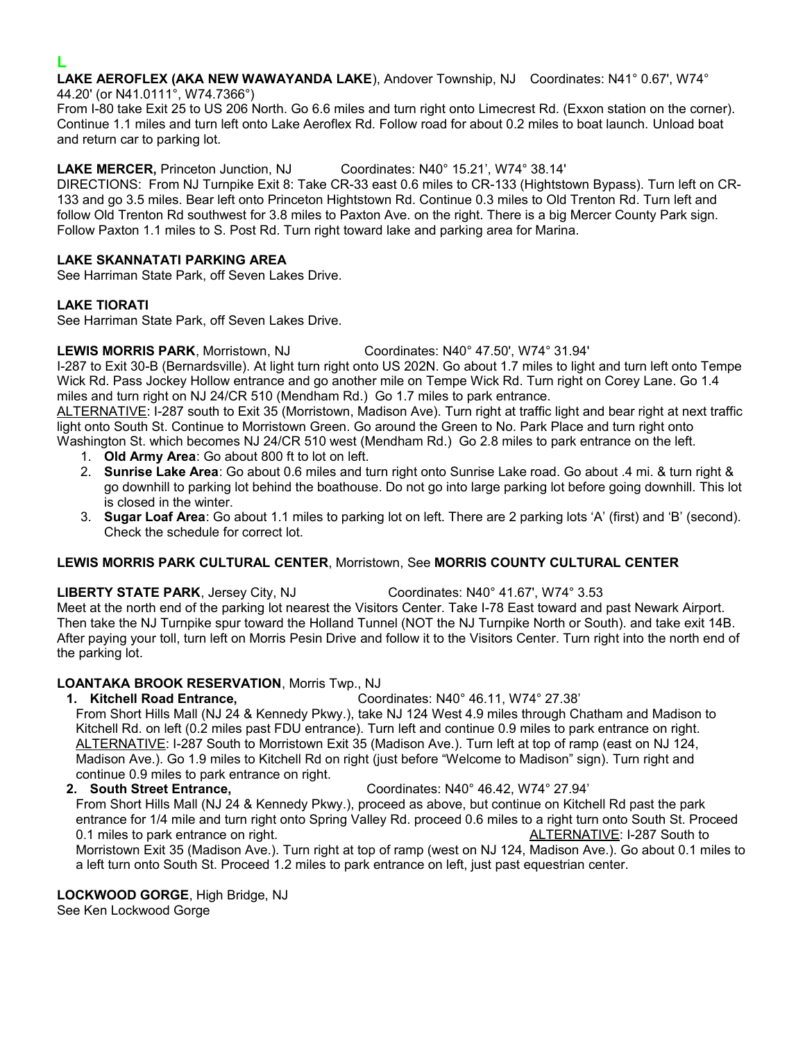**LAKE AEROFLEX (AKA NEW WAWAYANDA LAKE**), Andover Township, NJ Coordinates: N41° 0.67', W74° 44.20' (or N41.0111°, W74.7366°)

From I-80 take Exit 25 to US 206 North. Go 6.6 miles and turn right onto Limecrest Rd. (Exxon station on the corner). Continue 1.1 miles and turn left onto Lake Aeroflex Rd. Follow road for about 0.2 miles to boat launch. Unload boat and return car to parking lot.

**LAKE MERCER,** Princeton Junction, NJ Coordinates: N40° 15.21', W74° 38.14'

DIRECTIONS: From NJ Turnpike Exit 8: Take CR-33 east 0.6 miles to CR-133 (Hightstown Bypass). Turn left on CR-133 and go 3.5 miles. Bear left onto Princeton Hightstown Rd. Continue 0.3 miles to Old Trenton Rd. Turn left and follow Old Trenton Rd southwest for 3.8 miles to Paxton Ave. on the right. There is a big Mercer County Park sign. Follow Paxton 1.1 miles to S. Post Rd. Turn right toward lake and parking area for Marina.

#### **LAKE SKANNATATI PARKING AREA**

See Harriman State Park, off Seven Lakes Drive.

#### **LAKE TIORATI**

See Harriman State Park, off Seven Lakes Drive.

**LEWIS MORRIS PARK**, Morristown, NJ Coordinates: N40° 47.50', W74° 31.94'

I-287 to Exit 30-B (Bernardsville). At light turn right onto US 202N. Go about 1.7 miles to light and turn left onto Tempe Wick Rd. Pass Jockey Hollow entrance and go another mile on Tempe Wick Rd. Turn right on Corey Lane. Go 1.4 miles and turn right on NJ 24/CR 510 (Mendham Rd.) Go 1.7 miles to park entrance.

ALTERNATIVE: I-287 south to Exit 35 (Morristown, Madison Ave). Turn right at traffic light and bear right at next traffic light onto South St. Continue to Morristown Green. Go around the Green to No. Park Place and turn right onto Washington St. which becomes NJ 24/CR 510 west (Mendham Rd.) Go 2.8 miles to park entrance on the left.

1. **Old Army Area**: Go about 800 ft to lot on left.

- 2. **Sunrise Lake Area**: Go about 0.6 miles and turn right onto Sunrise Lake road. Go about .4 mi. & turn right & go downhill to parking lot behind the boathouse. Do not go into large parking lot before going downhill. This lot is closed in the winter.
- 3. **Sugar Loaf Area**: Go about 1.1 miles to parking lot on left. There are 2 parking lots 'A' (first) and 'B' (second). Check the schedule for correct lot.

#### **LEWIS MORRIS PARK CULTURAL CENTER**, Morristown, See **MORRIS COUNTY CULTURAL CENTER**

**LIBERTY STATE PARK**, Jersey City, NJ Coordinates: N40° 41.67', W74° 3.53

Meet at the north end of the parking lot nearest the Visitors Center. Take I-78 East toward and past Newark Airport. Then take the NJ Turnpike spur toward the Holland Tunnel (NOT the NJ Turnpike North or South). and take exit 14B. After paying your toll, turn left on Morris Pesin Drive and follow it to the Visitors Center. Turn right into the north end of the parking lot.

### **LOANTAKA BROOK RESERVATION**, Morris Twp., NJ

**1. Kitchell Road Entrance,** Coordinates: N40° 46.11, W74° 27.38'

From Short Hills Mall (NJ 24 & Kennedy Pkwy.), take NJ 124 West 4.9 miles through Chatham and Madison to Kitchell Rd. on left (0.2 miles past FDU entrance). Turn left and continue 0.9 miles to park entrance on right. ALTERNATIVE: I-287 South to Morristown Exit 35 (Madison Ave.). Turn left at top of ramp (east on NJ 124, Madison Ave.). Go 1.9 miles to Kitchell Rd on right (just before "Welcome to Madison" sign). Turn right and continue 0.9 miles to park entrance on right.

**2. South Street Entrance,** Coordinates: N40° 46.42, W74° 27.94'

From Short Hills Mall (NJ 24 & Kennedy Pkwy.), proceed as above, but continue on Kitchell Rd past the park entrance for 1/4 mile and turn right onto Spring Valley Rd. proceed 0.6 miles to a right turn onto South St. Proceed 0.1 miles to park entrance on right. ALTERNATIVE: I-287 South to contract to the ALTERNATIVE: I-287 South to Morristown Exit 35 (Madison Ave.). Turn right at top of ramp (west on NJ 124, Madison Ave.). Go about 0.1 miles to a left turn onto South St. Proceed 1.2 miles to park entrance on left, just past equestrian center.

**LOCKWOOD GORGE**, High Bridge, NJ

See Ken Lockwood Gorge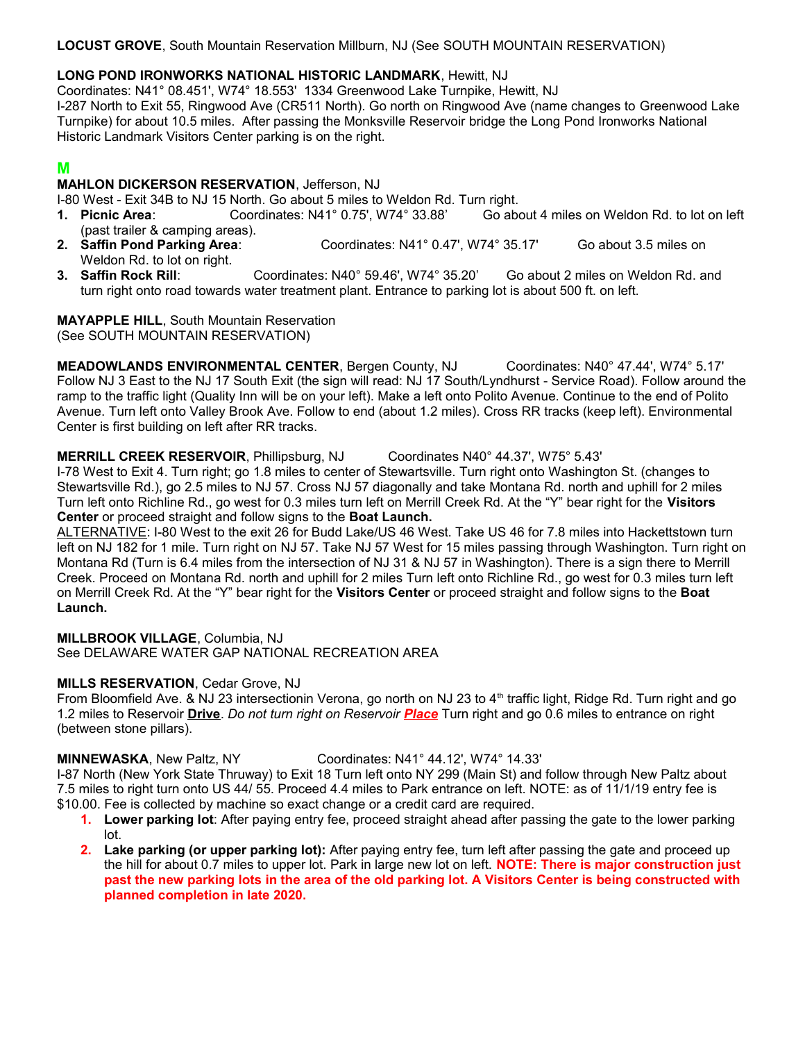**LOCUST GROVE**, South Mountain Reservation Millburn, NJ (See SOUTH MOUNTAIN RESERVATION)

#### **LONG POND IRONWORKS NATIONAL HISTORIC LANDMARK**, Hewitt, NJ

Coordinates: N41° 08.451', W74° 18.553' 1334 Greenwood Lake Turnpike, Hewitt, NJ I-287 North to Exit 55, Ringwood Ave (CR511 North). Go north on Ringwood Ave (name changes to Greenwood Lake Turnpike) for about 10.5 miles. After passing the Monksville Reservoir bridge the Long Pond Ironworks National Historic Landmark Visitors Center parking is on the right.

## **M**

#### **MAHLON DICKERSON RESERVATION**, Jefferson, NJ

I-80 West - Exit 34B to NJ 15 North. Go about 5 miles to Weldon Rd. Turn right.

- **1. Picnic Area**: Coordinates: N41° 0.75', W74° 33.88' Go about 4 miles on Weldon Rd. to lot on left (past trailer & camping areas).
- **2. Saffin Pond Parking Area**: Coordinates: N41° 0.47', W74° 35.17' Go about 3.5 miles on Weldon Rd. to lot on right.
- **3. Saffin Rock Rill**: Coordinates: N40° 59.46', W74° 35.20' Go about 2 miles on Weldon Rd. and turn right onto road towards water treatment plant. Entrance to parking lot is about 500 ft. on left.

## **MAYAPPLE HILL**, South Mountain Reservation

(See SOUTH MOUNTAIN RESERVATION)

**MEADOWLANDS ENVIRONMENTAL CENTER**, Bergen County, NJ Coordinates: N40° 47.44', W74° 5.17' Follow NJ 3 East to the NJ 17 South Exit (the sign will read: NJ 17 South/Lyndhurst - Service Road). Follow around the ramp to the traffic light (Quality Inn will be on your left). Make a left onto Polito Avenue. Continue to the end of Polito Avenue. Turn left onto Valley Brook Ave. Follow to end (about 1.2 miles). Cross RR tracks (keep left). Environmental Center is first building on left after RR tracks.

**MERRILL CREEK RESERVOIR**, Phillipsburg, NJ Coordinates N40° 44.37', W75° 5.43' I-78 West to Exit 4. Turn right; go 1.8 miles to center of Stewartsville. Turn right onto Washington St. (changes to Stewartsville Rd.), go 2.5 miles to NJ 57. Cross NJ 57 diagonally and take Montana Rd. north and uphill for 2 miles Turn left onto Richline Rd., go west for 0.3 miles turn left on Merrill Creek Rd. At the "Y" bear right for the **Visitors Center** or proceed straight and follow signs to the **Boat Launch.**

ALTERNATIVE: I-80 West to the exit 26 for Budd Lake/US 46 West. Take US 46 for 7.8 miles into Hackettstown turn left on NJ 182 for 1 mile. Turn right on NJ 57. Take NJ 57 West for 15 miles passing through Washington. Turn right on Montana Rd (Turn is 6.4 miles from the intersection of NJ 31 & NJ 57 in Washington). There is a sign there to Merrill Creek. Proceed on Montana Rd. north and uphill for 2 miles Turn left onto Richline Rd., go west for 0.3 miles turn left on Merrill Creek Rd. At the "Y" bear right for the **Visitors Center** or proceed straight and follow signs to the **Boat Launch.**

### **MILLBROOK VILLAGE**, Columbia, NJ

See DELAWARE WATER GAP NATIONAL RECREATION AREA

### **MILLS RESERVATION**, Cedar Grove, NJ

From Bloomfield Ave. & NJ 23 intersectionin Verona, go north on NJ 23 to 4<sup>th</sup> traffic light, Ridge Rd. Turn right and go 1.2 miles to Reservoir **Drive**. *Do not turn right on Reservoir Place* Turn right and go 0.6 miles to entrance on right (between stone pillars).

#### **MINNEWASKA**, New Paltz, NY Coordinates: N41° 44.12', W74° 14.33'

I-87 North (New York State Thruway) to Exit 18 Turn left onto NY 299 (Main St) and follow through New Paltz about 7.5 miles to right turn onto US 44/ 55. Proceed 4.4 miles to Park entrance on left. NOTE: as of 11/1/19 entry fee is \$10.00. Fee is collected by machine so exact change or a credit card are required.

- **1. Lower parking lot**: After paying entry fee, proceed straight ahead after passing the gate to the lower parking lot.
- **2. Lake parking (or upper parking lot):** After paying entry fee, turn left after passing the gate and proceed up the hill for about 0.7 miles to upper lot. Park in large new lot on left. **NOTE: There is major construction just past the new parking lots in the area of the old parking lot. A Visitors Center is being constructed with planned completion in late 2020.**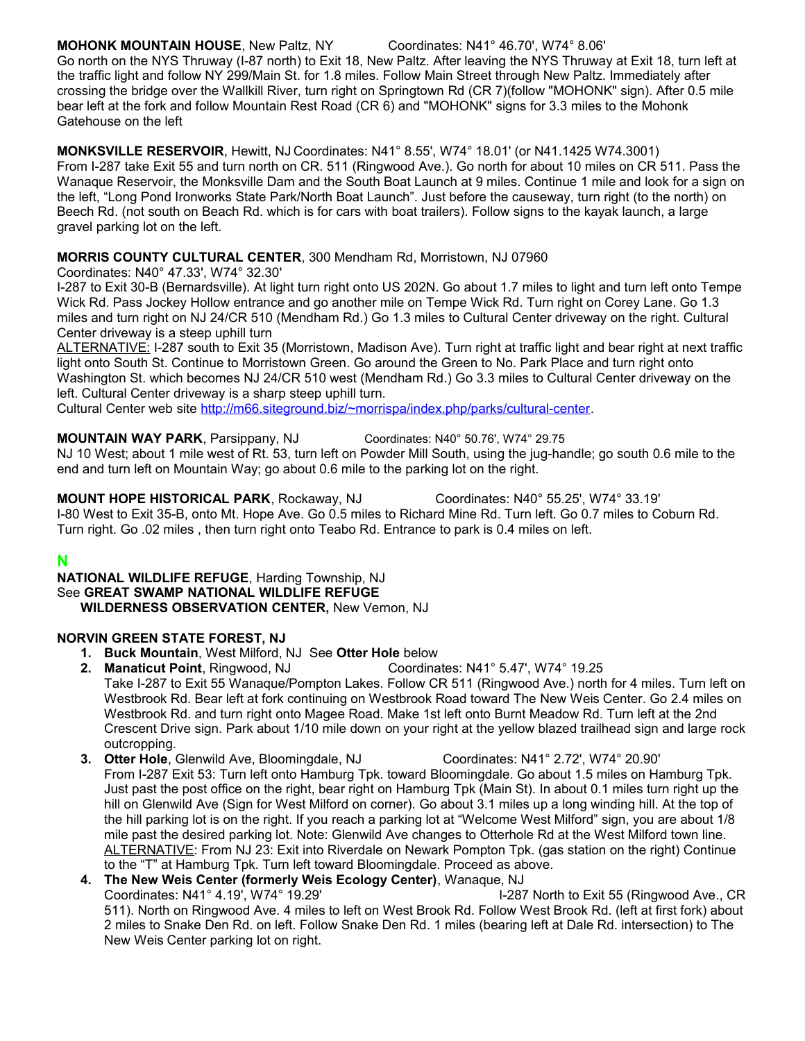#### **MOHONK MOUNTAIN HOUSE**, New Paltz, NY Coordinates: N41° 46.70', W74° 8.06'

Go north on the NYS Thruway (I-87 north) to Exit 18, New Paltz. After leaving the NYS Thruway at Exit 18, turn left at the traffic light and follow NY 299/Main St. for 1.8 miles. Follow Main Street through New Paltz. Immediately after crossing the bridge over the Wallkill River, turn right on Springtown Rd (CR 7)(follow "MOHONK" sign). After 0.5 mile bear left at the fork and follow Mountain Rest Road (CR 6) and "MOHONK" signs for 3.3 miles to the Mohonk Gatehouse on the left

#### **MONKSVILLE RESERVOIR**, Hewitt, NJ Coordinates: N41° 8.55', W74° 18.01' (or N41.1425 W74.3001)

From I-287 take Exit 55 and turn north on CR. 511 (Ringwood Ave.). Go north for about 10 miles on CR 511. Pass the Wanaque Reservoir, the Monksville Dam and the South Boat Launch at 9 miles. Continue 1 mile and look for a sign on the left, "Long Pond Ironworks State Park/North Boat Launch". Just before the causeway, turn right (to the north) on Beech Rd. (not south on Beach Rd. which is for cars with boat trailers). Follow signs to the kayak launch, a large gravel parking lot on the left.

#### **MORRIS COUNTY CULTURAL CENTER**, 300 Mendham Rd, Morristown, NJ 07960

Coordinates: N40° 47.33', W74° 32.30'

I-287 to Exit 30-B (Bernardsville). At light turn right onto US 202N. Go about 1.7 miles to light and turn left onto Tempe Wick Rd. Pass Jockey Hollow entrance and go another mile on Tempe Wick Rd. Turn right on Corey Lane. Go 1.3 miles and turn right on NJ 24/CR 510 (Mendham Rd.) Go 1.3 miles to Cultural Center driveway on the right. Cultural Center driveway is a steep uphill turn

ALTERNATIVE: I-287 south to Exit 35 (Morristown, Madison Ave). Turn right at traffic light and bear right at next traffic light onto South St. Continue to Morristown Green. Go around the Green to No. Park Place and turn right onto Washington St. which becomes NJ 24/CR 510 west (Mendham Rd.) Go 3.3 miles to Cultural Center driveway on the left. Cultural Center driveway is a sharp steep uphill turn.

Cultural Center web site [http://m66.siteground.biz/~morrispa/index.php/parks/cultural-center.](http://m66.siteground.biz/~morrispa/index.php/parks/cultural-center)

**MOUNTAIN WAY PARK**, Parsippany, NJ Coordinates: N40° 50.76', W74° 29.75

NJ 10 West; about 1 mile west of Rt. 53, turn left on Powder Mill South, using the jug-handle; go south 0.6 mile to the end and turn left on Mountain Way; go about 0.6 mile to the parking lot on the right.

**MOUNT HOPE HISTORICAL PARK**, Rockaway, NJ Coordinates: N40° 55.25', W74° 33.19' I-80 West to Exit 35-B, onto Mt. Hope Ave. Go 0.5 miles to Richard Mine Rd. Turn left. Go 0.7 miles to Coburn Rd. Turn right. Go .02 miles , then turn right onto Teabo Rd. Entrance to park is 0.4 miles on left.

### **N**

**NATIONAL WILDLIFE REFUGE**, Harding Township, NJ See **GREAT SWAMP NATIONAL WILDLIFE REFUGE WILDERNESS OBSERVATION CENTER,** New Vernon, NJ

### **NORVIN GREEN STATE FOREST, NJ**

- **1. Buck Mountain**, West Milford, NJSee **Otter Hole** below
- **2. Manaticut Point**, Ringwood, NJ Coordinates: N41° 5.47', W74° 19.25 Take I-287 to Exit 55 Wanaque/Pompton Lakes. Follow CR 511 (Ringwood Ave.) north for 4 miles. Turn left on Westbrook Rd. Bear left at fork continuing on Westbrook Road toward The New Weis Center. Go 2.4 miles on Westbrook Rd. and turn right onto Magee Road. Make 1st left onto Burnt Meadow Rd. Turn left at the 2nd Crescent Drive sign. Park about 1/10 mile down on your right at the yellow blazed trailhead sign and large rock outcropping.
- **3. Otter Hole**, Glenwild Ave, Bloomingdale, NJ Coordinates: N41° 2.72', W74° 20.90' From I-287 Exit 53: Turn left onto Hamburg Tpk. toward Bloomingdale. Go about 1.5 miles on Hamburg Tpk. Just past the post office on the right, bear right on Hamburg Tpk (Main St). In about 0.1 miles turn right up the hill on Glenwild Ave (Sign for West Milford on corner). Go about 3.1 miles up a long winding hill. At the top of the hill parking lot is on the right. If you reach a parking lot at "Welcome West Milford" sign, you are about 1/8 mile past the desired parking lot. Note: Glenwild Ave changes to Otterhole Rd at the West Milford town line. ALTERNATIVE: From NJ 23: Exit into Riverdale on Newark Pompton Tpk. (gas station on the right) Continue to the "T" at Hamburg Tpk. Turn left toward Bloomingdale. Proceed as above.
- **4. The New Weis Center (formerly Weis Ecology Center)**, Wanaque, NJ Coordinates: N41° 4.19', W74° 19.29' I-287 North to Exit 55 (Ringwood Ave., CR 511). North on Ringwood Ave. 4 miles to left on West Brook Rd. Follow West Brook Rd. (left at first fork) about 2 miles to Snake Den Rd. on left. Follow Snake Den Rd. 1 miles (bearing left at Dale Rd. intersection) to The New Weis Center parking lot on right.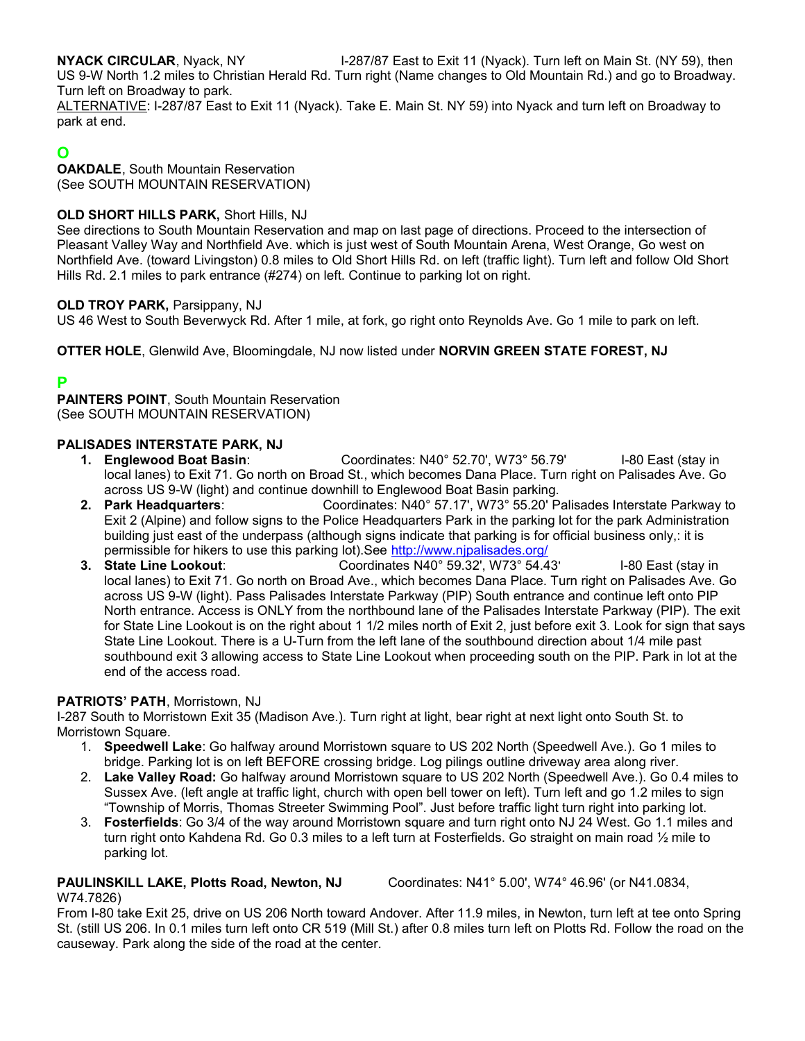**NYACK CIRCULAR**, Nyack, NY **I-287/87 East to Exit 11 (Nyack). Turn left on Main St. (NY 59), then** US 9-W North 1.2 miles to Christian Herald Rd. Turn right (Name changes to Old Mountain Rd.) and go to Broadway. Turn left on Broadway to park.

ALTERNATIVE: I-287/87 East to Exit 11 (Nyack). Take E. Main St. NY 59) into Nyack and turn left on Broadway to park at end.

## **O**

**OAKDALE**, South Mountain Reservation (See SOUTH MOUNTAIN RESERVATION)

#### **OLD SHORT HILLS PARK,** Short Hills, NJ

See directions to South Mountain Reservation and map on last page of directions. Proceed to the intersection of Pleasant Valley Way and Northfield Ave. which is just west of South Mountain Arena, West Orange, Go west on Northfield Ave. (toward Livingston) 0.8 miles to Old Short Hills Rd. on left (traffic light). Turn left and follow Old Short Hills Rd. 2.1 miles to park entrance (#274) on left. Continue to parking lot on right.

#### **OLD TROY PARK,** Parsippany, NJ

US 46 West to South Beverwyck Rd. After 1 mile, at fork, go right onto Reynolds Ave. Go 1 mile to park on left.

**OTTER HOLE**, Glenwild Ave, Bloomingdale, NJ now listed under **NORVIN GREEN STATE FOREST, NJ**

## **P**

**PAINTERS POINT**, South Mountain Reservation (See SOUTH MOUNTAIN RESERVATION)

#### **PALISADES INTERSTATE PARK, NJ**

- **1. Englewood Boat Basin**: Coordinates: N40° 52.70', W73° 56.79' I-80 East (stay in local lanes) to Exit 71. Go north on Broad St., which becomes Dana Place. Turn right on Palisades Ave. Go across US 9-W (light) and continue downhill to Englewood Boat Basin parking.
- **2. Park Headquarters**: Coordinates: N40° 57.17', W73° 55.20' Palisades Interstate Parkway to Exit 2 (Alpine) and follow signs to the Police Headquarters Park in the parking lot for the park Administration building just east of the underpass (although signs indicate that parking is for official business only,: it is permissible for hikers to use this parking lot).See<http://www.njpalisades.org/><br>3. State Line Lookout: Coordinates N40° 59.32', W73° 54.43
- **3. State Line Lookout**: Coordinates N40° 59.32', W73° 54.43' I-80 East (stay in local lanes) to Exit 71. Go north on Broad Ave., which becomes Dana Place. Turn right on Palisades Ave. Go across US 9-W (light). Pass Palisades Interstate Parkway (PIP) South entrance and continue left onto PIP North entrance. Access is ONLY from the northbound lane of the Palisades Interstate Parkway (PIP). The exit for State Line Lookout is on the right about 1 1/2 miles north of Exit 2, just before exit 3. Look for sign that says State Line Lookout. There is a U-Turn from the left lane of the southbound direction about 1/4 mile past southbound exit 3 allowing access to State Line Lookout when proceeding south on the PIP. Park in lot at the end of the access road.

#### **PATRIOTS' PATH**, Morristown, NJ

I-287 South to Morristown Exit 35 (Madison Ave.). Turn right at light, bear right at next light onto South St. to Morristown Square.

- 1. **Speedwell Lake**: Go halfway around Morristown square to US 202 North (Speedwell Ave.). Go 1 miles to bridge. Parking lot is on left BEFORE crossing bridge. Log pilings outline driveway area along river.
- 2. **Lake Valley Road:** Go halfway around Morristown square to US 202 North (Speedwell Ave.). Go 0.4 miles to Sussex Ave. (left angle at traffic light, church with open bell tower on left). Turn left and go 1.2 miles to sign "Township of Morris, Thomas Streeter Swimming Pool". Just before traffic light turn right into parking lot.
- 3. **Fosterfields**: Go 3/4 of the way around Morristown square and turn right onto NJ 24 West. Go 1.1 miles and turn right onto Kahdena Rd. Go 0.3 miles to a left turn at Fosterfields. Go straight on main road 1/2 mile to parking lot.

## **PAULINSKILL LAKE, Plotts Road, Newton, NJ** Coordinates: N41° 5.00', W74° 46.96' (or N41.0834,

#### W74.7826)

From I-80 take Exit 25, drive on US 206 North toward Andover. After 11.9 miles, in Newton, turn left at tee onto Spring St. (still US 206. In 0.1 miles turn left onto CR 519 (Mill St.) after 0.8 miles turn left on Plotts Rd. Follow the road on the causeway. Park along the side of the road at the center.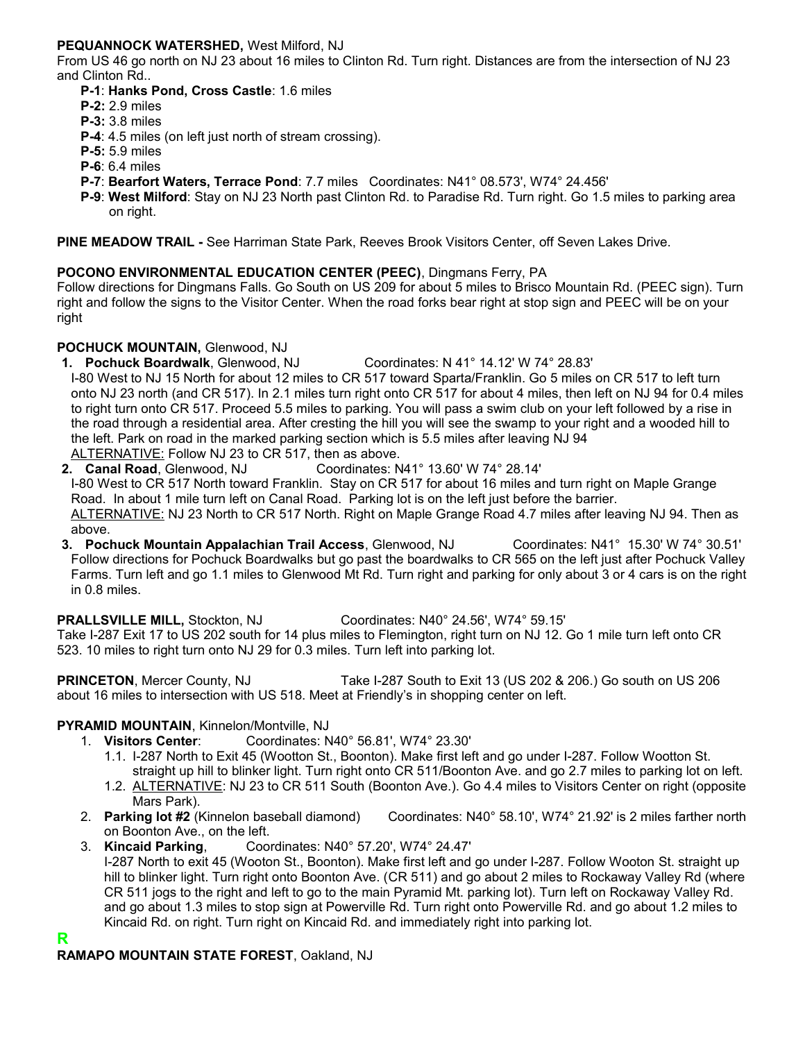#### **PEQUANNOCK WATERSHED,** West Milford, NJ

From US 46 go north on NJ 23 about 16 miles to Clinton Rd. Turn right. Distances are from the intersection of NJ 23 and Clinton Rd..

- **P-1**: **Hanks Pond, Cross Castle**: 1.6 miles
- **P-2:** 2.9 miles
- **P-3:** 3.8 miles
- **P-4**: 4.5 miles (on left just north of stream crossing).
- **P-5:** 5.9 miles
- **P-6**: 6.4 miles
- **P-7**: **Bearfort Waters, Terrace Pond**: 7.7 miles Coordinates: N41° 08.573', W74° 24.456'
- **P-9**: **West Milford**: Stay on NJ 23 North past Clinton Rd. to Paradise Rd. Turn right. Go 1.5 miles to parking area on right.

**PINE MEADOW TRAIL -** See Harriman State Park, Reeves Brook Visitors Center, off Seven Lakes Drive.

#### **POCONO ENVIRONMENTAL EDUCATION CENTER (PEEC)**, Dingmans Ferry, PA

Follow directions for Dingmans Falls. Go South on US 209 for about 5 miles to Brisco Mountain Rd. (PEEC sign). Turn right and follow the signs to the Visitor Center. When the road forks bear right at stop sign and PEEC will be on your right

#### **POCHUCK MOUNTAIN,** Glenwood, NJ

**1. Pochuck Boardwalk**, Glenwood, NJ Coordinates: N 41° 14.12' W 74° 28.83'

I-80 West to NJ 15 North for about 12 miles to CR 517 toward Sparta/Franklin. Go 5 miles on CR 517 to left turn onto NJ 23 north (and CR 517). In 2.1 miles turn right onto CR 517 for about 4 miles, then left on NJ 94 for 0.4 miles to right turn onto CR 517. Proceed 5.5 miles to parking. You will pass a swim club on your left followed by a rise in the road through a residential area. After cresting the hill you will see the swamp to your right and a wooded hill to the left. Park on road in the marked parking section which is 5.5 miles after leaving NJ 94 ALTERNATIVE: Follow NJ 23 to CR 517, then as above.

**2. Canal Road**, Glenwood, NJ Coordinates: N41° 13.60' W 74° 28.14' I-80 West to CR 517 North toward Franklin. Stay on CR 517 for about 16 miles and turn right on Maple Grange Road. In about 1 mile turn left on Canal Road. Parking lot is on the left just before the barrier. ALTERNATIVE: NJ 23 North to CR 517 North. Right on Maple Grange Road 4.7 miles after leaving NJ 94. Then as above. **3. Pochuck Mountain Appalachian Trail Access**, Glenwood, NJ Coordinates: N41° 15.30' W 74° 30.51'

Follow directions for Pochuck Boardwalks but go past the boardwalks to CR 565 on the left just after Pochuck Valley Farms. Turn left and go 1.1 miles to Glenwood Mt Rd. Turn right and parking for only about 3 or 4 cars is on the right in 0.8 miles.

#### **PRALLSVILLE MILL,** Stockton, NJ Coordinates: N40° 24.56', W74° 59.15'

Take I-287 Exit 17 to US 202 south for 14 plus miles to Flemington, right turn on NJ 12. Go 1 mile turn left onto CR 523. 10 miles to right turn onto NJ 29 for 0.3 miles. Turn left into parking lot.

**PRINCETON**, Mercer County, NJ Take I-287 South to Exit 13 (US 202 & 206.) Go south on US 206 about 16 miles to intersection with US 518. Meet at Friendly's in shopping center on left.

### **PYRAMID MOUNTAIN**, Kinnelon/Montville, NJ

- 1. **Visitors Center**: Coordinates: N40° 56.81', W74° 23.30'
	- 1.1. I-287 North to Exit 45 (Wootton St., Boonton). Make first left and go under I-287. Follow Wootton St. straight up hill to blinker light. Turn right onto CR 511/Boonton Ave. and go 2.7 miles to parking lot on left.
- 1.2. ALTERNATIVE: NJ 23 to CR 511 South (Boonton Ave.). Go 4.4 miles to Visitors Center on right (opposite Mars Park).<br>2. **Parking lot #2** (Kinnelon baseball diamond)
- Coordinates: N40° 58.10', W74° 21.92' is 2 miles farther north on Boonton Ave., on the left.
- 3. **Kincaid Parking**, Coordinates: N40° 57.20', W74° 24.47' I-287 North to exit 45 (Wooton St., Boonton). Make first left and go under I-287. Follow Wooton St. straight up hill to blinker light. Turn right onto Boonton Ave. (CR 511) and go about 2 miles to Rockaway Valley Rd (where CR 511 jogs to the right and left to go to the main Pyramid Mt. parking lot). Turn left on Rockaway Valley Rd. and go about 1.3 miles to stop sign at Powerville Rd. Turn right onto Powerville Rd. and go about 1.2 miles to Kincaid Rd. on right. Turn right on Kincaid Rd. and immediately right into parking lot.

**R**

### **RAMAPO MOUNTAIN STATE FOREST**, Oakland, NJ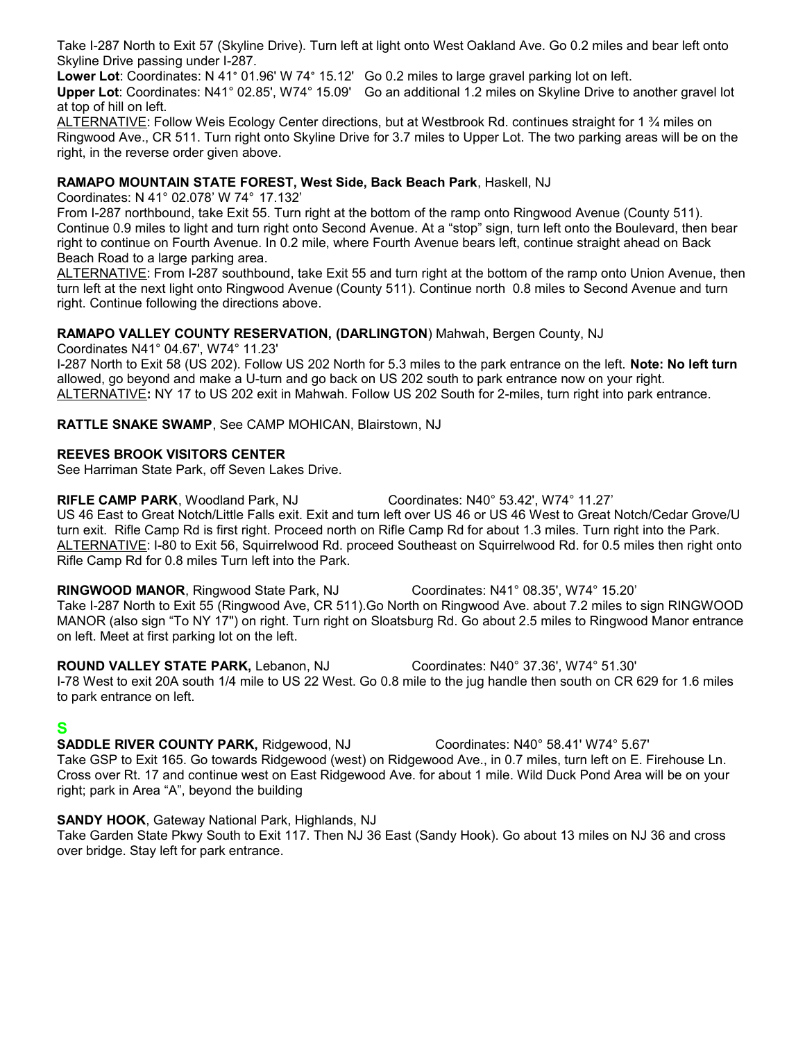Take I-287 North to Exit 57 (Skyline Drive). Turn left at light onto West Oakland Ave. Go 0.2 miles and bear left onto Skyline Drive passing under I-287.

**Lower Lot**: Coordinates: N 41° 01.96' W 74° 15.12' Go 0.2 miles to large gravel parking lot on left.

**Upper Lot**: Coordinates: N41° 02.85', W74° 15.09' Go an additional 1.2 miles on Skyline Drive to another gravel lot at top of hill on left.

ALTERNATIVE: Follow Weis Ecology Center directions, but at Westbrook Rd. continues straight for 1 % miles on Ringwood Ave., CR 511. Turn right onto Skyline Drive for 3.7 miles to Upper Lot. The two parking areas will be on the right, in the reverse order given above.

#### **RAMAPO MOUNTAIN STATE FOREST, West Side, Back Beach Park**, Haskell, NJ

Coordinates: N 41° 02.078' W 74° 17.132'

From I-287 northbound, take Exit 55. Turn right at the bottom of the ramp onto Ringwood Avenue (County 511). Continue 0.9 miles to light and turn right onto Second Avenue. At a "stop" sign, turn left onto the Boulevard, then bear right to continue on Fourth Avenue. In 0.2 mile, where Fourth Avenue bears left, continue straight ahead on Back Beach Road to a large parking area.

ALTERNATIVE: From I-287 southbound, take Exit 55 and turn right at the bottom of the ramp onto Union Avenue, then turn left at the next light onto Ringwood Avenue (County 511). Continue north 0.8 miles to Second Avenue and turn right. Continue following the directions above.

#### **RAMAPO VALLEY COUNTY RESERVATION, (DARLINGTON**) Mahwah, Bergen County, NJ

Coordinates N41° 04.67', W74° 11.23'

I-287 North to Exit 58 (US 202). Follow US 202 North for 5.3 miles to the park entrance on the left. **Note: No left turn** allowed, go beyond and make a U-turn and go back on US 202 south to park entrance now on your right. ALTERNATIVE**:** NY 17 to US 202 exit in Mahwah. Follow US 202 South for 2-miles, turn right into park entrance.

**RATTLE SNAKE SWAMP**, See CAMP MOHICAN, Blairstown, NJ

#### **REEVES BROOK VISITORS CENTER**

See Harriman State Park, off Seven Lakes Drive.

**RIFLE CAMP PARK**, Woodland Park, NJ Coordinates: N40° 53.42', W74° 11.27' US 46 East to Great Notch/Little Falls exit. Exit and turn left over US 46 or US 46 West to Great Notch/Cedar Grove/U turn exit. Rifle Camp Rd is first right. Proceed north on Rifle Camp Rd for about 1.3 miles. Turn right into the Park. ALTERNATIVE: I-80 to Exit 56, Squirrelwood Rd. proceed Southeast on Squirrelwood Rd. for 0.5 miles then right onto Rifle Camp Rd for 0.8 miles Turn left into the Park.

**RINGWOOD MANOR**, Ringwood State Park, NJ Coordinates: N41° 08.35', W74° 15.20' Take I-287 North to Exit 55 (Ringwood Ave, CR 511).Go North on Ringwood Ave. about 7.2 miles to sign RINGWOOD MANOR (also sign "To NY 17") on right. Turn right on Sloatsburg Rd. Go about 2.5 miles to Ringwood Manor entrance on left. Meet at first parking lot on the left.

**ROUND VALLEY STATE PARK,** Lebanon, NJ Coordinates: N40° 37.36', W74° 51.30' I-78 West to exit 20A south 1/4 mile to US 22 West. Go 0.8 mile to the jug handle then south on CR 629 for 1.6 miles to park entrance on left.

### **S**

**SADDLE RIVER COUNTY PARK,** Ridgewood, NJ Coordinates: N40° 58.41' W74° 5.67' Take GSP to Exit 165. Go towards Ridgewood (west) on Ridgewood Ave., in 0.7 miles, turn left on E. Firehouse Ln. Cross over Rt. 17 and continue west on East Ridgewood Ave. for about 1 mile. Wild Duck Pond Area will be on your right; park in Area "A", beyond the building

#### **SANDY HOOK**, Gateway National Park, Highlands, NJ

Take Garden State Pkwy South to Exit 117. Then NJ 36 East (Sandy Hook). Go about 13 miles on NJ 36 and cross over bridge. Stay left for park entrance.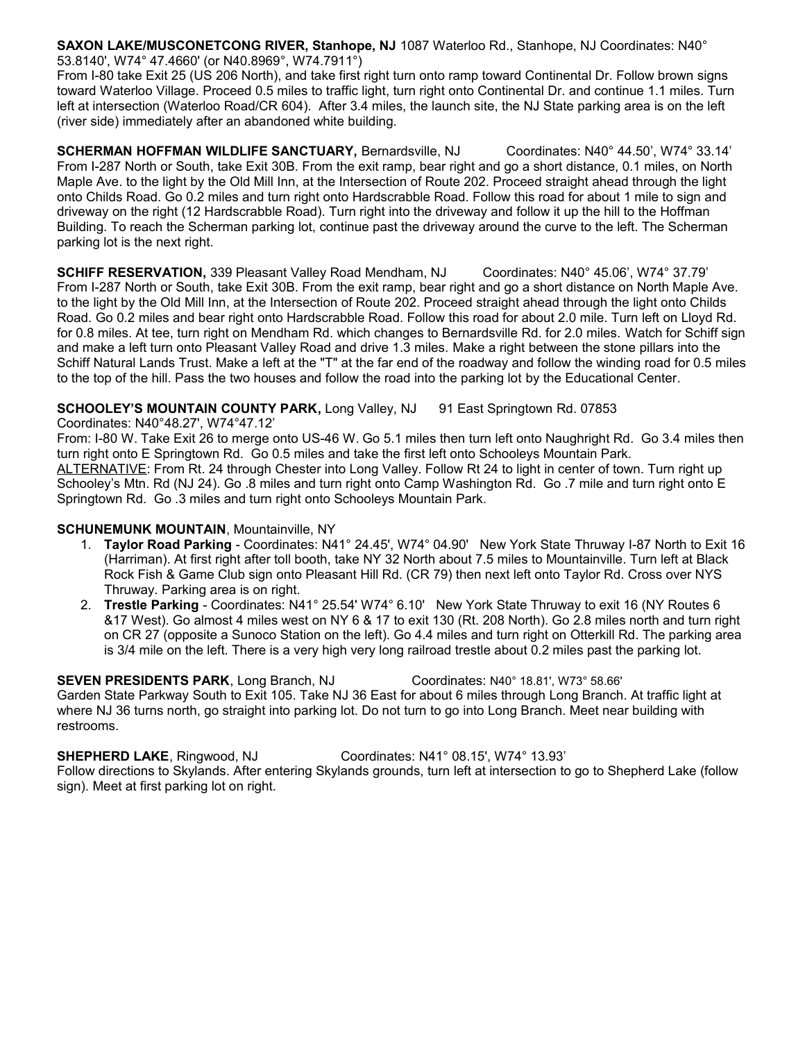**SAXON LAKE/MUSCONETCONG RIVER, Stanhope, NJ** 1087 Waterloo Rd., Stanhope, NJ Coordinates: N40° 53.8140', W74° 47.4660' (or N40.8969°, W74.7911°)

From I-80 take Exit 25 (US 206 North), and take first right turn onto ramp toward Continental Dr. Follow brown signs toward Waterloo Village. Proceed 0.5 miles to traffic light, turn right onto Continental Dr. and continue 1.1 miles. Turn left at intersection (Waterloo Road/CR 604). After 3.4 miles, the launch site, the NJ State parking area is on the left (river side) immediately after an abandoned white building.

**SCHERMAN HOFFMAN WILDLIFE SANCTUARY,** Bernardsville, NJ Coordinates: N40° 44.50', W74° 33.14' From I-287 North or South, take Exit 30B. From the exit ramp, bear right and go a short distance, 0.1 miles, on North Maple Ave. to the light by the Old Mill Inn, at the Intersection of Route 202. Proceed straight ahead through the light onto Childs Road. Go 0.2 miles and turn right onto Hardscrabble Road. Follow this road for about 1 mile to sign and driveway on the right (12 Hardscrabble Road). Turn right into the driveway and follow it up the hill to the Hoffman Building. To reach the Scherman parking lot, continue past the driveway around the curve to the left. The Scherman parking lot is the next right.

**SCHIFF RESERVATION,** 339 Pleasant Valley Road Mendham, NJ Coordinates: N40° 45.06', W74° 37.79' From I-287 North or South, take Exit 30B. From the exit ramp, bear right and go a short distance on North Maple Ave. to the light by the Old Mill Inn, at the Intersection of Route 202. Proceed straight ahead through the light onto Childs Road. Go 0.2 miles and bear right onto Hardscrabble Road. Follow this road for about 2.0 mile. Turn left on Lloyd Rd. for 0.8 miles. At tee, turn right on Mendham Rd. which changes to Bernardsville Rd. for 2.0 miles. Watch for Schiff sign and make a left turn onto Pleasant Valley Road and drive 1.3 miles. Make a right between the stone pillars into the Schiff Natural Lands Trust. Make a left at the "T" at the far end of the roadway and follow the winding road for 0.5 miles to the top of the hill. Pass the two houses and follow the road into the parking lot by the Educational Center.

## **SCHOOLEY'S MOUNTAIN COUNTY PARK, Long Valley, NJ 91 East Springtown Rd. 07853**

Coordinates: N40°48.27', W74°47.12'

From: I-80 W. Take Exit 26 to merge onto US-46 W. Go 5.1 miles then turn left onto Naughright Rd. Go 3.4 miles then turn right onto E Springtown Rd. Go 0.5 miles and take the first left onto Schooleys Mountain Park. ALTERNATIVE: From Rt. 24 through Chester into Long Valley. Follow Rt 24 to light in center of town. Turn right up Schooley's Mtn. Rd (NJ 24). Go .8 miles and turn right onto Camp Washington Rd. Go .7 mile and turn right onto E Springtown Rd. Go .3 miles and turn right onto Schooleys Mountain Park.

#### **SCHUNEMUNK MOUNTAIN**, Mountainville, NY

- 1. **Taylor Road Parking** Coordinates: N41° 24.45', W74° 04.90' New York State Thruway I-87 North to Exit 16 (Harriman). At first right after toll booth, take NY 32 North about 7.5 miles to Mountainville. Turn left at Black Rock Fish & Game Club sign onto Pleasant Hill Rd. (CR 79) then next left onto Taylor Rd. Cross over NYS Thruway. Parking area is on right.
- 2. **Trestle Parking** Coordinates: N41° 25.54' W74° 6.10' New York State Thruway to exit 16 (NY Routes 6 &17 West). Go almost 4 miles west on NY 6 & 17 to exit 130 (Rt. 208 North). Go 2.8 miles north and turn right on CR 27 (opposite a Sunoco Station on the left). Go 4.4 miles and turn right on Otterkill Rd. The parking area is 3/4 mile on the left. There is a very high very long railroad trestle about 0.2 miles past the parking lot.

**SEVEN PRESIDENTS PARK**, Long Branch, NJ Coordinates: N40° 18.81', W73° 58.66' Garden State Parkway South to Exit 105. Take NJ 36 East for about 6 miles through Long Branch. At traffic light at where NJ 36 turns north, go straight into parking lot. Do not turn to go into Long Branch. Meet near building with restrooms.

**SHEPHERD LAKE**, Ringwood, NJ Coordinates: N41° 08.15', W74° 13.93'

Follow directions to Skylands. After entering Skylands grounds, turn left at intersection to go to Shepherd Lake (follow sign). Meet at first parking lot on right.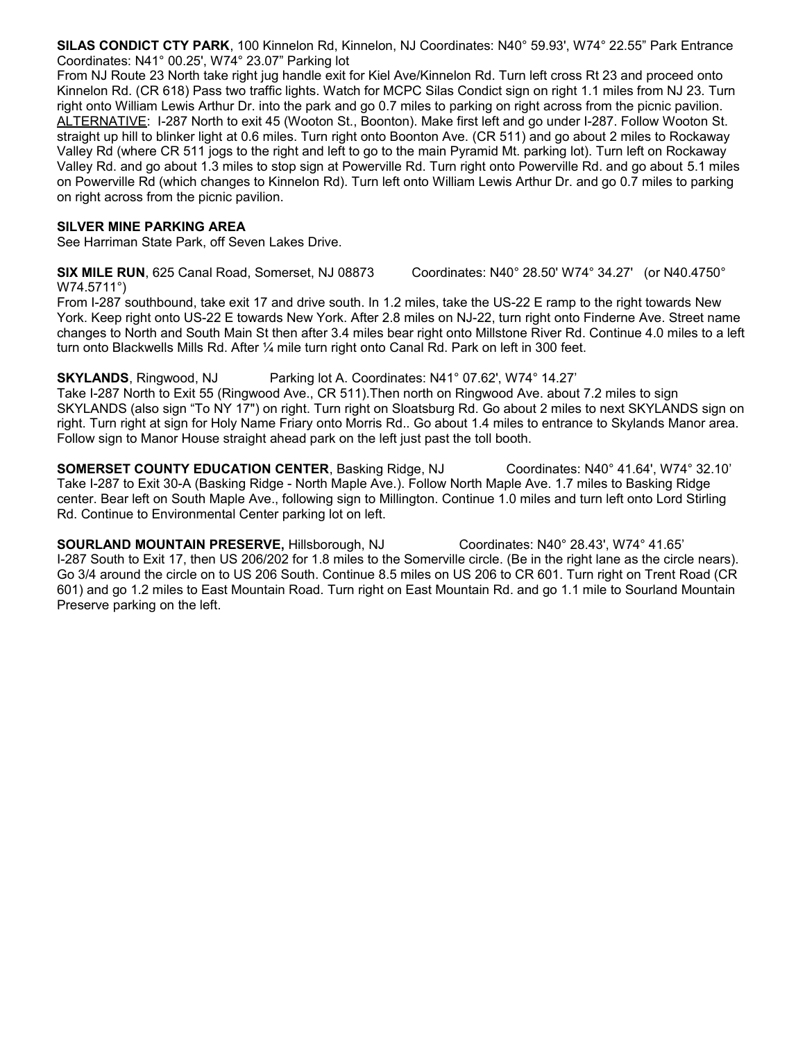**SILAS CONDICT CTY PARK**, 100 Kinnelon Rd, Kinnelon, NJ Coordinates: N40° 59.93', W74° 22.55" Park Entrance Coordinates: N41° 00.25', W74° 23.07" Parking lot

From NJ Route 23 North take right jug handle exit for Kiel Ave/Kinnelon Rd. Turn left cross Rt 23 and proceed onto Kinnelon Rd. (CR 618) Pass two traffic lights. Watch for MCPC Silas Condict sign on right 1.1 miles from NJ 23. Turn right onto William Lewis Arthur Dr. into the park and go 0.7 miles to parking on right across from the picnic pavilion. ALTERNATIVE: I-287 North to exit 45 (Wooton St., Boonton). Make first left and go under I-287. Follow Wooton St. straight up hill to blinker light at 0.6 miles. Turn right onto Boonton Ave. (CR 511) and go about 2 miles to Rockaway Valley Rd (where CR 511 jogs to the right and left to go to the main Pyramid Mt. parking lot). Turn left on Rockaway Valley Rd. and go about 1.3 miles to stop sign at Powerville Rd. Turn right onto Powerville Rd. and go about 5.1 miles on Powerville Rd (which changes to Kinnelon Rd). Turn left onto William Lewis Arthur Dr. and go 0.7 miles to parking on right across from the picnic pavilion.

#### **SILVER MINE PARKING AREA**

See Harriman State Park, off Seven Lakes Drive.

**SIX MILE RUN**, 625 Canal Road, Somerset, NJ 08873 Coordinates: N40° 28.50' W74° 34.27' (or N40.4750° W74.5711°)

From I-287 southbound, take exit 17 and drive south. In 1.2 miles, take the US-22 E ramp to the right towards New York. Keep right onto US-22 E towards New York. After 2.8 miles on NJ-22, turn right onto Finderne Ave. Street name changes to North and South Main St then after 3.4 miles bear right onto Millstone River Rd. Continue 4.0 miles to a left turn onto Blackwells Mills Rd. After ¼ mile turn right onto Canal Rd. Park on left in 300 feet.

**SKYLANDS**, Ringwood, NJ Parking lot A. Coordinates: N41° 07.62', W74° 14.27'

Take I-287 North to Exit 55 (Ringwood Ave., CR 511).Then north on Ringwood Ave. about 7.2 miles to sign SKYLANDS (also sign "To NY 17") on right. Turn right on Sloatsburg Rd. Go about 2 miles to next SKYLANDS sign on right. Turn right at sign for Holy Name Friary onto Morris Rd.. Go about 1.4 miles to entrance to Skylands Manor area. Follow sign to Manor House straight ahead park on the left just past the toll booth.

**SOMERSET COUNTY EDUCATION CENTER**, Basking Ridge, NJ Coordinates: N40° 41.64', W74° 32.10' Take I-287 to Exit 30-A (Basking Ridge - North Maple Ave.). Follow North Maple Ave. 1.7 miles to Basking Ridge center. Bear left on South Maple Ave., following sign to Millington. Continue 1.0 miles and turn left onto Lord Stirling Rd. Continue to Environmental Center parking lot on left.

**SOURLAND MOUNTAIN PRESERVE,** Hillsborough, NJ Coordinates: N40° 28.43', W74° 41.65' I-287 South to Exit 17, then US 206/202 for 1.8 miles to the Somerville circle. (Be in the right lane as the circle nears). Go 3/4 around the circle on to US 206 South. Continue 8.5 miles on US 206 to CR 601. Turn right on Trent Road (CR 601) and go 1.2 miles to East Mountain Road. Turn right on East Mountain Rd. and go 1.1 mile to Sourland Mountain Preserve parking on the left.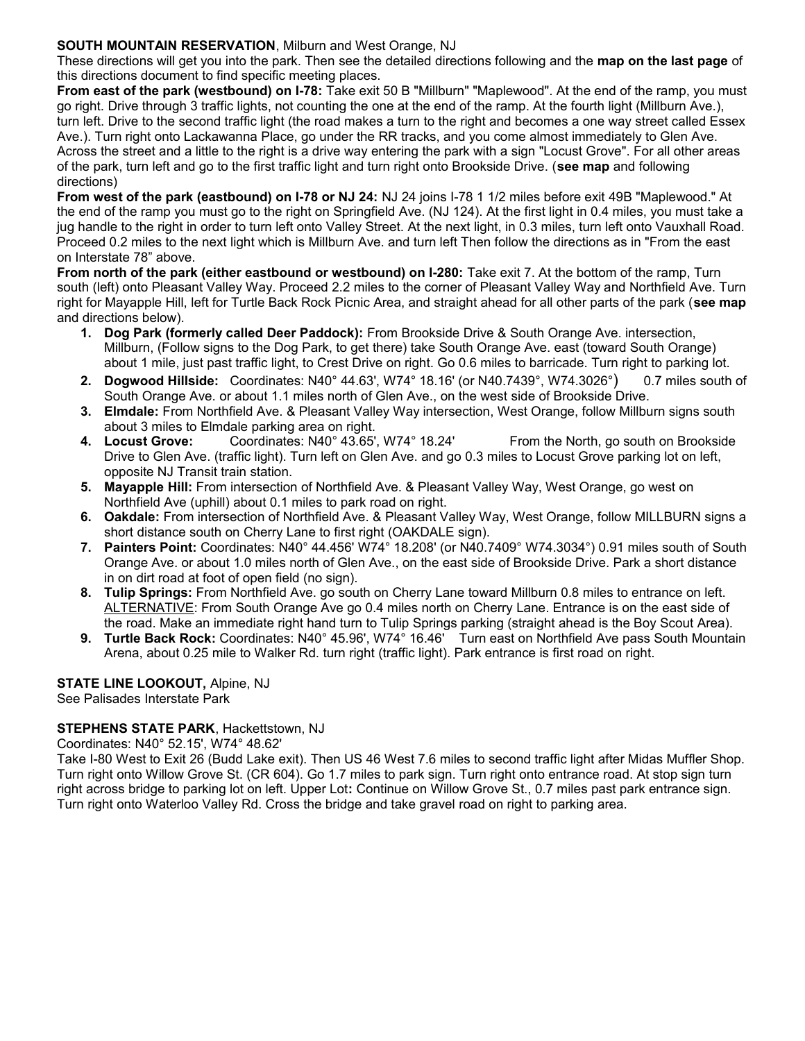#### **SOUTH MOUNTAIN RESERVATION**, Milburn and West Orange, NJ

These directions will get you into the park. Then see the detailed directions following and the **map on the last page** of this directions document to find specific meeting places.

**From east of the park (westbound) on I-78:** Take exit 50 B "Millburn" "Maplewood". At the end of the ramp, you must go right. Drive through 3 traffic lights, not counting the one at the end of the ramp. At the fourth light (Millburn Ave.), turn left. Drive to the second traffic light (the road makes a turn to the right and becomes a one way street called Essex Ave.). Turn right onto Lackawanna Place, go under the RR tracks, and you come almost immediately to Glen Ave. Across the street and a little to the right is a drive way entering the park with a sign "Locust Grove". For all other areas of the park, turn left and go to the first traffic light and turn right onto Brookside Drive. (**see map** and following directions)

**From west of the park (eastbound) on I-78 or NJ 24:** NJ 24 joins I-78 1 1/2 miles before exit 49B "Maplewood." At the end of the ramp you must go to the right on Springfield Ave. (NJ 124). At the first light in 0.4 miles, you must take a jug handle to the right in order to turn left onto Valley Street. At the next light, in 0.3 miles, turn left onto Vauxhall Road. Proceed 0.2 miles to the next light which is Millburn Ave. and turn left Then follow the directions as in "From the east on Interstate 78" above.

**From north of the park (either eastbound or westbound) on I-280:** Take exit 7. At the bottom of the ramp, Turn south (left) onto Pleasant Valley Way. Proceed 2.2 miles to the corner of Pleasant Valley Way and Northfield Ave. Turn right for Mayapple Hill, left for Turtle Back Rock Picnic Area, and straight ahead for all other parts of the park (**see map** and directions below).

- **1. Dog Park (formerly called Deer Paddock):** From Brookside Drive & South Orange Ave. intersection, Millburn, (Follow signs to the Dog Park, to get there) take South Orange Ave. east (toward South Orange) about 1 mile, just past traffic light, to Crest Drive on right. Go 0.6 miles to barricade. Turn right to parking lot.
- **2. Dogwood Hillside:** Coordinates: N40° 44.63', W74° 18.16' (or N40.7439°, W74.3026°) 0.7 miles south of South Orange Ave. or about 1.1 miles north of Glen Ave., on the west side of Brookside Drive.
- **3. Elmdale:** From Northfield Ave. & Pleasant Valley Way intersection, West Orange, follow Millburn signs south about 3 miles to Elmdale parking area on right.
- **4. Locust Grove:** Coordinates: N40° 43.65', W74° 18.24' From the North, go south on Brookside Drive to Glen Ave. (traffic light). Turn left on Glen Ave. and go 0.3 miles to Locust Grove parking lot on left, opposite NJ Transit train station.
- **5. Mayapple Hill:** From intersection of Northfield Ave. & Pleasant Valley Way, West Orange, go west on Northfield Ave (uphill) about 0.1 miles to park road on right.
- **6. Oakdale:** From intersection of Northfield Ave. & Pleasant Valley Way, West Orange, follow MILLBURN signs a short distance south on Cherry Lane to first right (OAKDALE sign).
- **7. Painters Point:** Coordinates: N40° 44.456' W74° 18.208' (or N40.7409° W74.3034°) 0.91 miles south of South Orange Ave. or about 1.0 miles north of Glen Ave., on the east side of Brookside Drive. Park a short distance in on dirt road at foot of open field (no sign).
- **8. Tulip Springs:** From Northfield Ave. go south on Cherry Lane toward Millburn 0.8 miles to entrance on left. ALTERNATIVE: From South Orange Ave go 0.4 miles north on Cherry Lane. Entrance is on the east side of the road. Make an immediate right hand turn to Tulip Springs parking (straight ahead is the Boy Scout Area).
- **9. Turtle Back Rock:** Coordinates: N40° 45.96', W74° 16.46' Turn east on Northfield Ave pass South Mountain Arena, about 0.25 mile to Walker Rd. turn right (traffic light). Park entrance is first road on right.

### **STATE LINE LOOKOUT,** Alpine, NJ

See Palisades Interstate Park

#### **STEPHENS STATE PARK**, Hackettstown, NJ

Coordinates: N40° 52.15', W74° 48.62'

Take I-80 West to Exit 26 (Budd Lake exit). Then US 46 West 7.6 miles to second traffic light after Midas Muffler Shop. Turn right onto Willow Grove St. (CR 604). Go 1.7 miles to park sign. Turn right onto entrance road. At stop sign turn right across bridge to parking lot on left. Upper Lot**:** Continue on Willow Grove St., 0.7 miles past park entrance sign. Turn right onto Waterloo Valley Rd. Cross the bridge and take gravel road on right to parking area.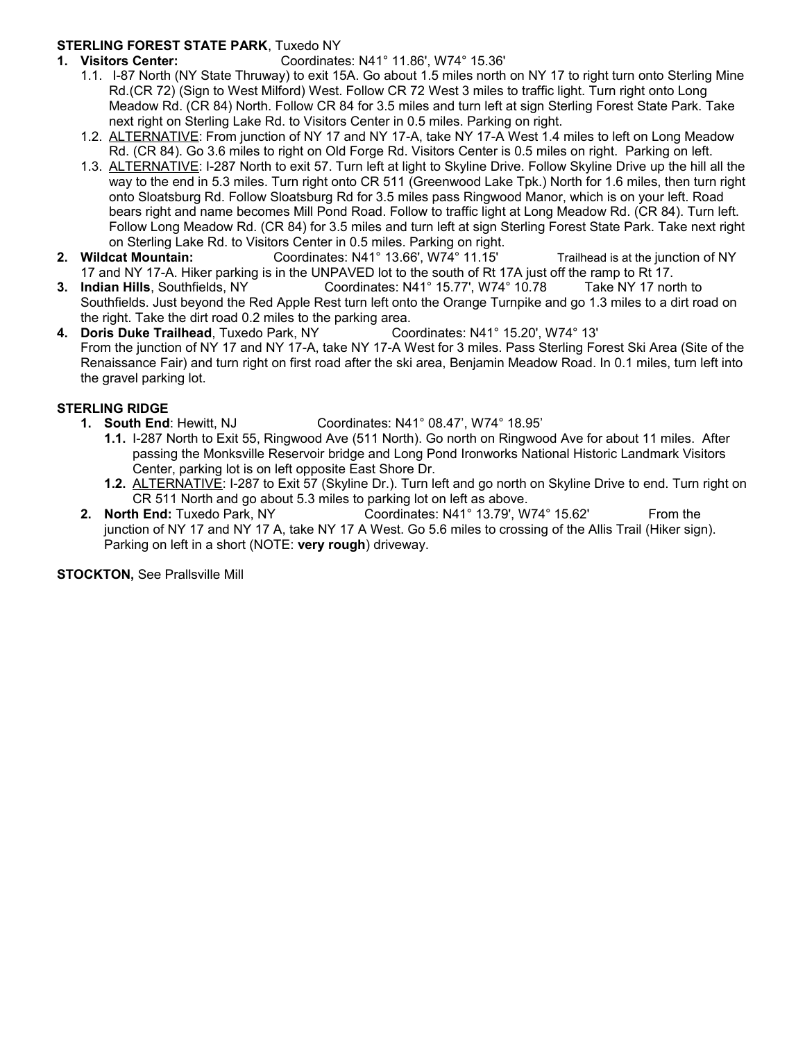#### **STERLING FOREST STATE PARK**, Tuxedo NY

- **1. Visitors Center:** Coordinates: N41° 11.86', W74° 15.36'
	- 1.1. I-87 North (NY State Thruway) to exit 15A. Go about 1.5 miles north on NY 17 to right turn onto Sterling Mine Rd.(CR 72) (Sign to West Milford) West. Follow CR 72 West 3 miles to traffic light. Turn right onto Long Meadow Rd. (CR 84) North. Follow CR 84 for 3.5 miles and turn left at sign Sterling Forest State Park. Take next right on Sterling Lake Rd. to Visitors Center in 0.5 miles. Parking on right.
	- 1.2. ALTERNATIVE: From junction of NY 17 and NY 17-A, take NY 17-A West 1.4 miles to left on Long Meadow Rd. (CR 84). Go 3.6 miles to right on Old Forge Rd. Visitors Center is 0.5 miles on right. Parking on left.
	- 1.3. ALTERNATIVE: I-287 North to exit 57. Turn left at light to Skyline Drive. Follow Skyline Drive up the hill all the way to the end in 5.3 miles. Turn right onto CR 511 (Greenwood Lake Tpk.) North for 1.6 miles, then turn right onto Sloatsburg Rd. Follow Sloatsburg Rd for 3.5 miles pass Ringwood Manor, which is on your left. Road bears right and name becomes Mill Pond Road. Follow to traffic light at Long Meadow Rd. (CR 84). Turn left. Follow Long Meadow Rd. (CR 84) for 3.5 miles and turn left at sign Sterling Forest State Park. Take next right on Sterling Lake Rd. to Visitors Center in 0.5 miles. Parking on right.
- **2. Wildcat Mountain:** Coordinates: N41° 13.66', W74° 11.15' Trailhead is at the junction of NY 17 and NY 17-A. Hiker parking is in the UNPAVED lot to the south of Rt 17A just off the ramp to Rt 17.
- **3. Indian Hills**, Southfields, NY Coordinates: N41° 15.77', W74° 10.78 Take NY 17 north to Southfields. Just beyond the Red Apple Rest turn left onto the Orange Turnpike and go 1.3 miles to a dirt road on the right. Take the dirt road 0.2 miles to the parking area.<br> **Doris Duke Trailhead**, Tuxedo Park, NY Coordinates: N41° 15.20'. W74° 13'
- **4. Doris Duke Trailhead, Tuxedo Park, NY** From the junction of NY 17 and NY 17-A, take NY 17-A West for 3 miles. Pass Sterling Forest Ski Area (Site of the Renaissance Fair) and turn right on first road after the ski area, Benjamin Meadow Road. In 0.1 miles, turn left into the gravel parking lot.

#### **STERLING RIDGE**

- **1. South End**: Hewitt, NJ Coordinates: N41° 08.47', W74° 18.95'
	- **1.1.** I-287 North to Exit 55, Ringwood Ave (511 North). Go north on Ringwood Ave for about 11 miles. After passing the Monksville Reservoir bridge and Long Pond Ironworks National Historic Landmark Visitors Center, parking lot is on left opposite East Shore Dr.
	- **1.2.** ALTERNATIVE: I-287 to Exit 57 (Skyline Dr.). Turn left and go north on Skyline Drive to end. Turn right on CR 511 North and go about 5.3 miles to parking lot on left as above.
- **2. North End:** Tuxedo Park, NY Coordinates: N41° 13.79', W74° 15.62' From the junction of NY 17 and NY 17 A, take NY 17 A West. Go 5.6 miles to crossing of the Allis Trail (Hiker sign). Parking on left in a short (NOTE: **very rough**) driveway.

**STOCKTON,** See Prallsville Mill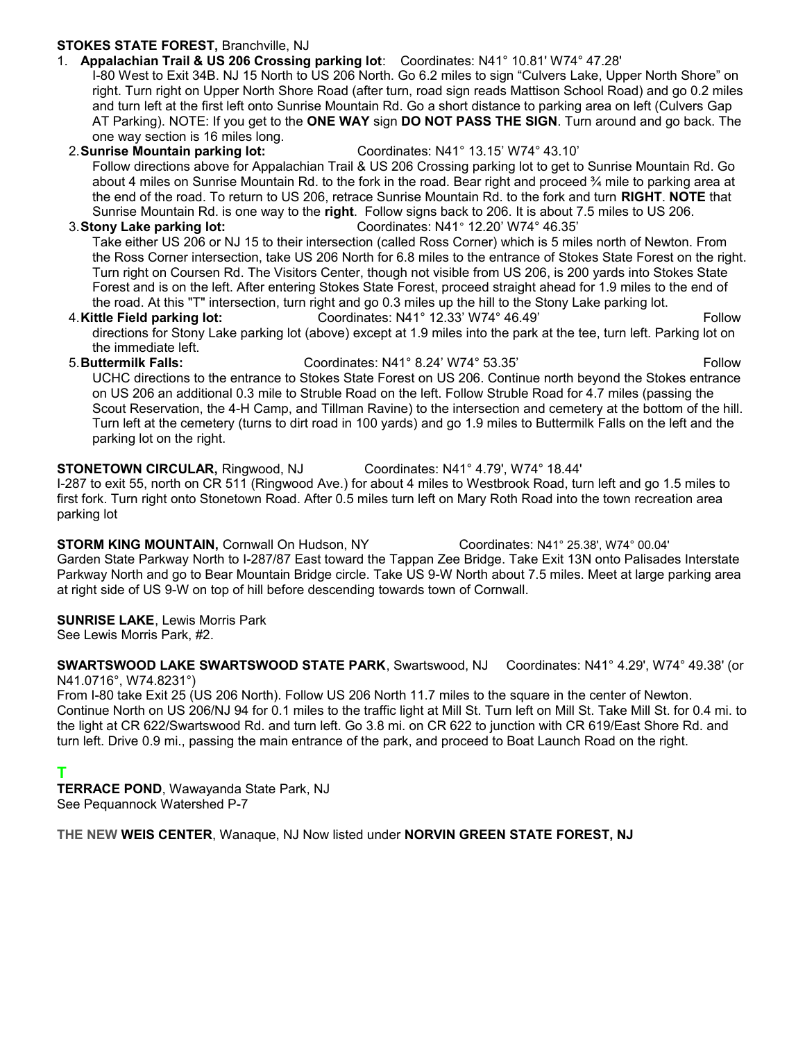#### **STOKES STATE FOREST,** Branchville, NJ

1. **Appalachian Trail & US 206 Crossing parking lot**: Coordinates: N41° 10.81' W74° 47.28'

I-80 West to Exit 34B. NJ 15 North to US 206 North. Go 6.2 miles to sign "Culvers Lake, Upper North Shore" on right. Turn right on Upper North Shore Road (after turn, road sign reads Mattison School Road) and go 0.2 miles and turn left at the first left onto Sunrise Mountain Rd. Go a short distance to parking area on left (Culvers Gap AT Parking). NOTE: If you get to the **ONE WAY** sign **DO NOT PASS THE SIGN**. Turn around and go back. The one way section is 16 miles long.

2.**Sunrise Mountain parking lot:** Coordinates: N41° 13.15' W74° 43.10' Follow directions above for Appalachian Trail & US 206 Crossing parking lot to get to Sunrise Mountain Rd. Go about 4 miles on Sunrise Mountain Rd. to the fork in the road. Bear right and proceed ¾ mile to parking area at the end of the road. To return to US 206, retrace Sunrise Mountain Rd. to the fork and turn **RIGHT**. **NOTE** that Sunrise Mountain Rd. is one way to the **right**. Follow signs back to 206. It is about 7.5 miles to US 206. 3.**Stony Lake parking lot:** Coordinates: N41° 12.20' W74° 46.35'

Take either US 206 or NJ 15 to their intersection (called Ross Corner) which is 5 miles north of Newton. From the Ross Corner intersection, take US 206 North for 6.8 miles to the entrance of Stokes State Forest on the right. Turn right on Coursen Rd. The Visitors Center, though not visible from US 206, is 200 yards into Stokes State Forest and is on the left. After entering Stokes State Forest, proceed straight ahead for 1.9 miles to the end of the road. At this "T" intersection, turn right and go 0.3 miles up the hill to the Stony Lake parking lot.

4.**Kittle Field parking lot:** Coordinates: N41° 12.33' W74° 46.49'Follow directions for Stony Lake parking lot (above) except at 1.9 miles into the park at the tee, turn left. Parking lot on the immediate left.

5.**Buttermilk Falls:** Coordinates: N41° 8.24' W74° 53.35' Follow UCHC directions to the entrance to Stokes State Forest on US 206. Continue north beyond the Stokes entrance on US 206 an additional 0.3 mile to Struble Road on the left. Follow Struble Road for 4.7 miles (passing the Scout Reservation, the 4-H Camp, and Tillman Ravine) to the intersection and cemetery at the bottom of the hill. Turn left at the cemetery (turns to dirt road in 100 yards) and go 1.9 miles to Buttermilk Falls on the left and the parking lot on the right.

#### **STONETOWN CIRCULAR,** Ringwood, NJ Coordinates: N41° 4.79', W74° 18.44'

I-287 to exit 55, north on CR 511 (Ringwood Ave.) for about 4 miles to Westbrook Road, turn left and go 1.5 miles to first fork. Turn right onto Stonetown Road. After 0.5 miles turn left on Mary Roth Road into the town recreation area parking lot

**STORM KING MOUNTAIN,** Cornwall On Hudson, NY Coordinates: N41° 25.38', W74° 00.04' Garden State Parkway North to I-287/87 East toward the Tappan Zee Bridge. Take Exit 13N onto Palisades Interstate Parkway North and go to Bear Mountain Bridge circle. Take US 9-W North about 7.5 miles. Meet at large parking area at right side of US 9-W on top of hill before descending towards town of Cornwall.

#### **SUNRISE LAKE**, Lewis Morris Park

See Lewis Morris Park, #2.

**SWARTSWOOD LAKE SWARTSWOOD STATE PARK**, Swartswood, NJ Coordinates: N41° 4.29', W74° 49.38' (or N41.0716°, W74.8231°)

From I-80 take Exit 25 (US 206 North). Follow US 206 North 11.7 miles to the square in the center of Newton. Continue North on US 206/NJ 94 for 0.1 miles to the traffic light at Mill St. Turn left on Mill St. Take Mill St. for 0.4 mi. to the light at CR 622/Swartswood Rd. and turn left. Go 3.8 mi. on CR 622 to junction with CR 619/East Shore Rd. and turn left. Drive 0.9 mi., passing the main entrance of the park, and proceed to Boat Launch Road on the right.

### **T**

**TERRACE POND**, Wawayanda State Park, NJ See Pequannock Watershed P-7

**THE NEW WEIS CENTER**, Wanaque, NJ Now listed under **NORVIN GREEN STATE FOREST, NJ**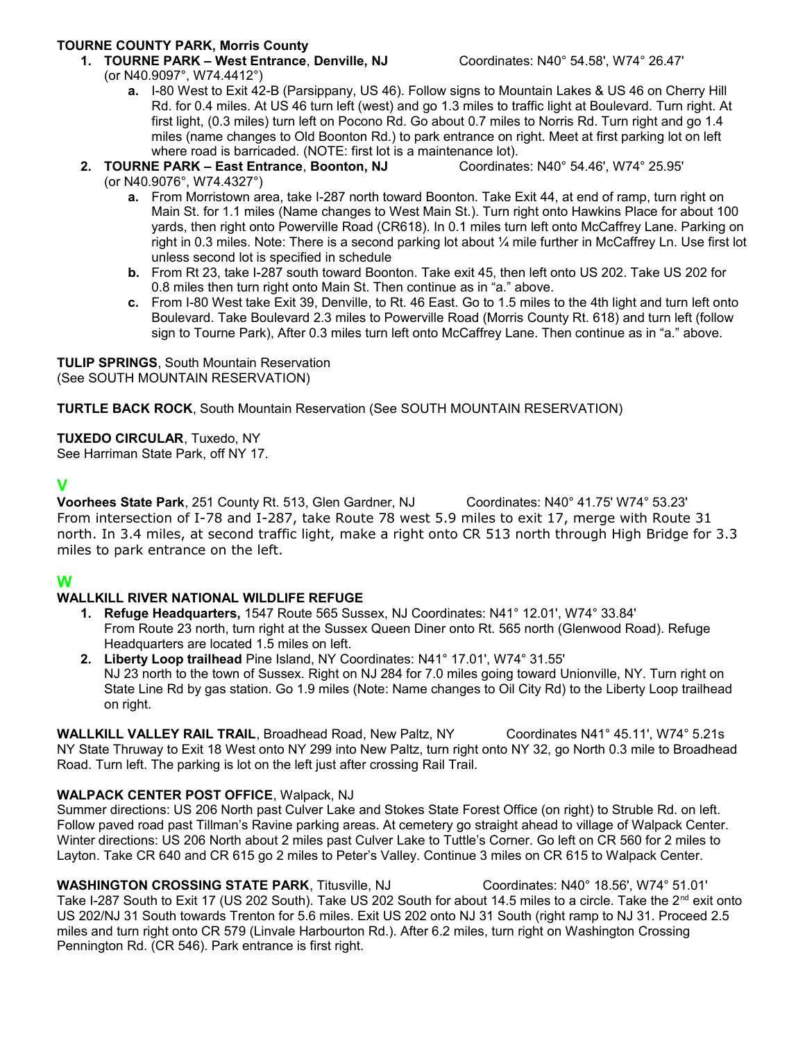## **TOURNE COUNTY PARK, Morris County**

**1. TOURNE PARK – West Entrance**, **Denville, NJ** Coordinates: N40° 54.58', W74° 26.47' (or N40.9097°, W74.4412°)

**a.** I-80 West to Exit 42-B (Parsippany, US 46). Follow signs to Mountain Lakes & US 46 on Cherry Hill Rd. for 0.4 miles. At US 46 turn left (west) and go 1.3 miles to traffic light at Boulevard. Turn right. At first light, (0.3 miles) turn left on Pocono Rd. Go about 0.7 miles to Norris Rd. Turn right and go 1.4 miles (name changes to Old Boonton Rd.) to park entrance on right. Meet at first parking lot on left where road is barricaded. (NOTE: first lot is a maintenance lot).

**2. TOURNE PARK – East Entrance**, **Boonton, NJ** Coordinates: N40° 54.46', W74° 25.95' (or N40.9076°, W74.4327°)

- **a.** From Morristown area, take I-287 north toward Boonton. Take Exit 44, at end of ramp, turn right on Main St. for 1.1 miles (Name changes to West Main St.). Turn right onto Hawkins Place for about 100 yards, then right onto Powerville Road (CR618). In 0.1 miles turn left onto McCaffrey Lane. Parking on right in 0.3 miles. Note: There is a second parking lot about ¼ mile further in McCaffrey Ln. Use first lot unless second lot is specified in schedule
- **b.** From Rt 23, take I-287 south toward Boonton. Take exit 45, then left onto US 202. Take US 202 for 0.8 miles then turn right onto Main St. Then continue as in "a." above.
- **c.** From I-80 West take Exit 39, Denville, to Rt. 46 East. Go to 1.5 miles to the 4th light and turn left onto Boulevard. Take Boulevard 2.3 miles to Powerville Road (Morris County Rt. 618) and turn left (follow sign to Tourne Park), After 0.3 miles turn left onto McCaffrey Lane. Then continue as in "a." above.

**TULIP SPRINGS**, South Mountain Reservation (See SOUTH MOUNTAIN RESERVATION)

**TURTLE BACK ROCK**, South Mountain Reservation (See SOUTH MOUNTAIN RESERVATION)

**TUXEDO CIRCULAR**, Tuxedo, NY

See Harriman State Park, off NY 17.

#### **V**

**Voorhees State Park**, 251 County Rt. 513, Glen Gardner, NJ Coordinates: N40° 41.75' W74° 53.23' From intersection of I-78 and I-287, take Route 78 west 5.9 miles to exit 17, merge with Route 31 north. In 3.4 miles, at second traffic light, make a right onto CR 513 north through High Bridge for 3.3 miles to park entrance on the left.

### **W**

#### **WALLKILL RIVER NATIONAL WILDLIFE REFUGE**

- **1. Refuge Headquarters,** 1547 Route 565 Sussex, NJ Coordinates: N41° 12.01', W74° 33.84' From Route 23 north, turn right at the Sussex Queen Diner onto Rt. 565 north (Glenwood Road). Refuge Headquarters are located 1.5 miles on left.
- **2. Liberty Loop trailhead** Pine Island, NY Coordinates: N41° 17.01', W74° 31.55' NJ 23 north to the town of Sussex. Right on NJ 284 for 7.0 miles going toward Unionville, NY. Turn right on State Line Rd by gas station. Go 1.9 miles (Note: Name changes to Oil City Rd) to the Liberty Loop trailhead on right.

WALLKILL VALLEY RAIL TRAIL, Broadhead Road, New Paltz, NY Coordinates N41° 45.11', W74° 5.21s NY State Thruway to Exit 18 West onto NY 299 into New Paltz, turn right onto NY 32, go North 0.3 mile to Broadhead Road. Turn left. The parking is lot on the left just after crossing Rail Trail.

#### **WALPACK CENTER POST OFFICE**, Walpack, NJ

Summer directions: US 206 North past Culver Lake and Stokes State Forest Office (on right) to Struble Rd. on left. Follow paved road past Tillman's Ravine parking areas. At cemetery go straight ahead to village of Walpack Center. Winter directions: US 206 North about 2 miles past Culver Lake to Tuttle's Corner. Go left on CR 560 for 2 miles to Layton. Take CR 640 and CR 615 go 2 miles to Peter's Valley. Continue 3 miles on CR 615 to Walpack Center.

**WASHINGTON CROSSING STATE PARK**, Titusville, NJ Coordinates: N40° 18.56', W74° 51.01' Take I-287 South to Exit 17 (US 202 South). Take US 202 South for about 14.5 miles to a circle. Take the 2<sup>nd</sup> exit onto US 202/NJ 31 South towards Trenton for 5.6 miles. Exit US 202 onto NJ 31 South (right ramp to NJ 31. Proceed 2.5 miles and turn right onto CR 579 (Linvale Harbourton Rd.). After 6.2 miles, turn right on Washington Crossing Pennington Rd. (CR 546). Park entrance is first right.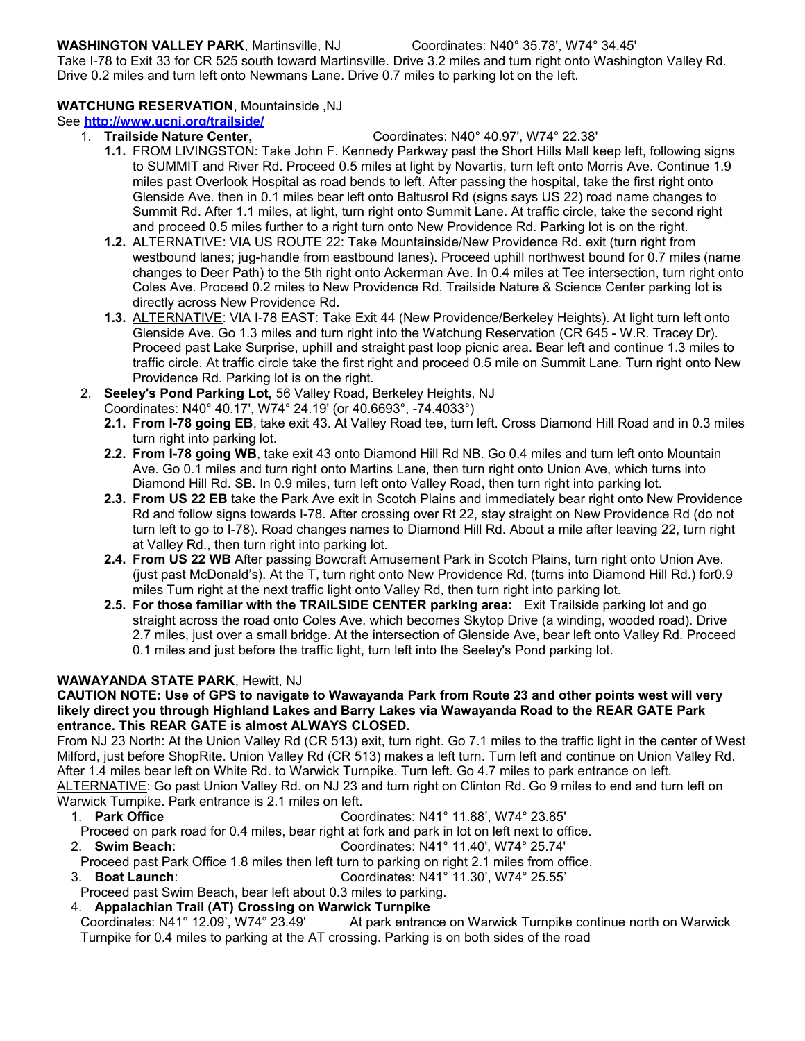#### **WASHINGTON VALLEY PARK**, Martinsville, NJ Coordinates: N40° 35.78', W74° 34.45'

Take I-78 to Exit 33 for CR 525 south toward Martinsville. Drive 3.2 miles and turn right onto Washington Valley Rd. Drive 0.2 miles and turn left onto Newmans Lane. Drive 0.7 miles to parking lot on the left.

#### **WATCHUNG RESERVATION**, Mountainside ,NJ

#### See **<http://www.ucnj.org/trailside/>**

#### 1. **Trailside Nature Center,** Coordinates: N40° 40.97', W74° 22.38'

- **1.1.** FROM LIVINGSTON: Take John F. Kennedy Parkway past the Short Hills Mall keep left, following signs to SUMMIT and River Rd. Proceed 0.5 miles at light by Novartis, turn left onto Morris Ave. Continue 1.9 miles past Overlook Hospital as road bends to left. After passing the hospital, take the first right onto Glenside Ave. then in 0.1 miles bear left onto Baltusrol Rd (signs says US 22) road name changes to Summit Rd. After 1.1 miles, at light, turn right onto Summit Lane. At traffic circle, take the second right and proceed 0.5 miles further to a right turn onto New Providence Rd. Parking lot is on the right.
- **1.2.** ALTERNATIVE: VIA US ROUTE 22: Take Mountainside/New Providence Rd. exit (turn right from westbound lanes; jug-handle from eastbound lanes). Proceed uphill northwest bound for 0.7 miles (name changes to Deer Path) to the 5th right onto Ackerman Ave. In 0.4 miles at Tee intersection, turn right onto Coles Ave. Proceed 0.2 miles to New Providence Rd. Trailside Nature & Science Center parking lot is directly across New Providence Rd.
- **1.3.** ALTERNATIVE: VIA I-78 EAST: Take Exit 44 (New Providence/Berkeley Heights). At light turn left onto Glenside Ave. Go 1.3 miles and turn right into the Watchung Reservation (CR 645 - W.R. Tracey Dr). Proceed past Lake Surprise, uphill and straight past loop picnic area. Bear left and continue 1.3 miles to traffic circle. At traffic circle take the first right and proceed 0.5 mile on Summit Lane. Turn right onto New Providence Rd. Parking lot is on the right.
- 2. **Seeley's Pond Parking Lot,** 56 Valley Road, Berkeley Heights, NJ
	- Coordinates: N40° 40.17', W74° 24.19' (or 40.6693°, -74.4033°)
	- **2.1. From I-78 going EB**, take exit 43. At Valley Road tee, turn left. Cross Diamond Hill Road and in 0.3 miles turn right into parking lot.
	- **2.2. From I-78 going WB**, take exit 43 onto Diamond Hill Rd NB. Go 0.4 miles and turn left onto Mountain Ave. Go 0.1 miles and turn right onto Martins Lane, then turn right onto Union Ave, which turns into Diamond Hill Rd. SB. In 0.9 miles, turn left onto Valley Road, then turn right into parking lot.
	- **2.3. From US 22 EB** take the Park Ave exit in Scotch Plains and immediately bear right onto New Providence Rd and follow signs towards I-78. After crossing over Rt 22, stay straight on New Providence Rd (do not turn left to go to I-78). Road changes names to Diamond Hill Rd. About a mile after leaving 22, turn right at Valley Rd., then turn right into parking lot.
	- **2.4. From US 22 WB** After passing Bowcraft Amusement Park in Scotch Plains, turn right onto Union Ave. (just past McDonald's). At the T, turn right onto New Providence Rd, (turns into Diamond Hill Rd.) for0.9 miles Turn right at the next traffic light onto Valley Rd, then turn right into parking lot.
	- **2.5. For those familiar with the TRAILSIDE CENTER parking area:** Exit Trailside parking lot and go straight across the road onto Coles Ave. which becomes Skytop Drive (a winding, wooded road). Drive 2.7 miles, just over a small bridge. At the intersection of Glenside Ave, bear left onto Valley Rd. Proceed 0.1 miles and just before the traffic light, turn left into the Seeley's Pond parking lot.

### **WAWAYANDA STATE PARK**, Hewitt, NJ

#### **CAUTION NOTE: Use of GPS to navigate to Wawayanda Park from Route 23 and other points west will very likely direct you through Highland Lakes and Barry Lakes via Wawayanda Road to the REAR GATE Park entrance. This REAR GATE is almost ALWAYS CLOSED.**

From NJ 23 North: At the Union Valley Rd (CR 513) exit, turn right. Go 7.1 miles to the traffic light in the center of West Milford, just before ShopRite. Union Valley Rd (CR 513) makes a left turn. Turn left and continue on Union Valley Rd. After 1.4 miles bear left on White Rd. to Warwick Turnpike. Turn left. Go 4.7 miles to park entrance on left. ALTERNATIVE: Go past Union Valley Rd. on NJ 23 and turn right on Clinton Rd. Go 9 miles to end and turn left on Warwick Turnpike. Park entrance is 2.1 miles on left.<br>Coo Coo

1. **Park Office** Coordinates: N41° 11.88', W74° 23.85'

Proceed on park road for 0.4 miles, bear right at fork and park in lot on left next to office.

- 2. **Swim Beach**: Coordinates: N41° 11.40', W74° 25.74'
- Proceed past Park Office 1.8 miles then left turn to parking on right 2.1 miles from office.
- 3. **Boat Launch**: Coordinates: N41° 11.30', W74° 25.55'

Proceed past Swim Beach, bear left about 0.3 miles to parking.

# 4. **Appalachian Trail (AT) Crossing on Warwick Turnpike**

At park entrance on Warwick Turnpike continue north on Warwick Turnpike for 0.4 miles to parking at the AT crossing. Parking is on both sides of the road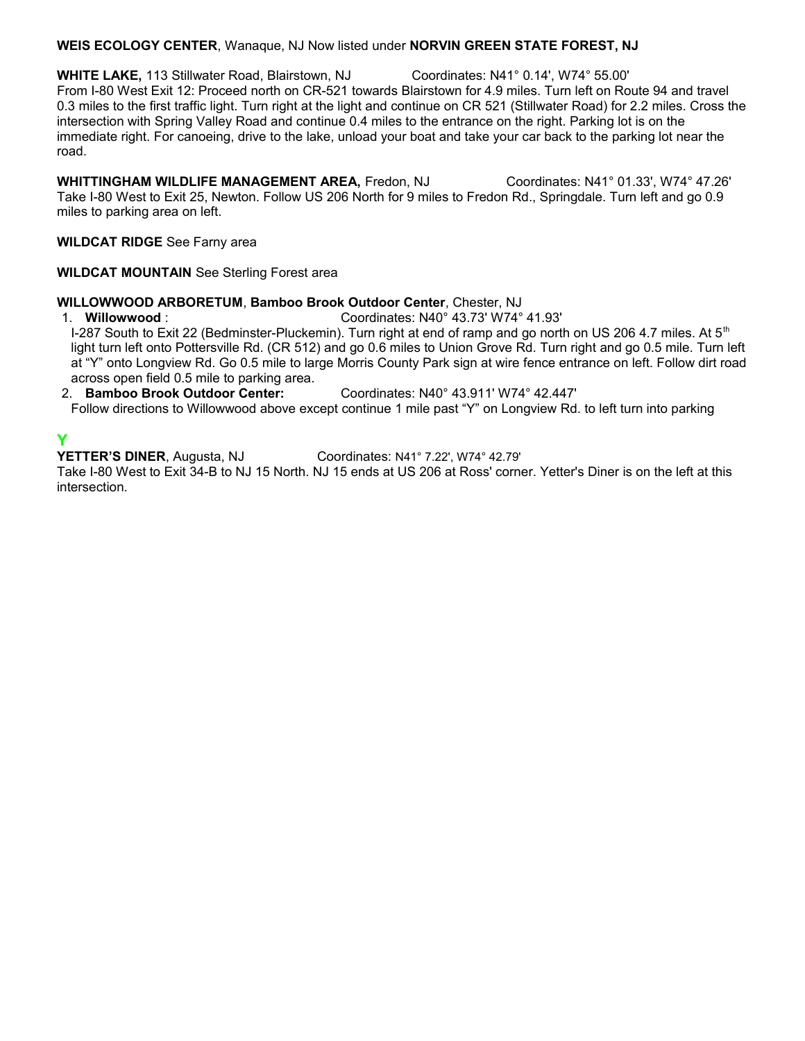#### **WEIS ECOLOGY CENTER**, Wanaque, NJ Now listed under **NORVIN GREEN STATE FOREST, NJ**

**WHITE LAKE,** 113 Stillwater Road, Blairstown, NJ Coordinates: N41° 0.14', W74° 55.00' From I-80 West Exit 12: Proceed north on CR-521 towards Blairstown for 4.9 miles. Turn left on Route 94 and travel 0.3 miles to the first traffic light. Turn right at the light and continue on CR 521 (Stillwater Road) for 2.2 miles. Cross the intersection with Spring Valley Road and continue 0.4 miles to the entrance on the right. Parking lot is on the immediate right. For canoeing, drive to the lake, unload your boat and take your car back to the parking lot near the road.

**WHITTINGHAM WILDLIFE MANAGEMENT AREA,** Fredon, NJ Coordinates: N41° 01.33', W74° 47.26' Take I-80 West to Exit 25, Newton. Follow US 206 North for 9 miles to Fredon Rd., Springdale. Turn left and go 0.9 miles to parking area on left.

#### **WILDCAT RIDGE** See Farny area

**WILDCAT MOUNTAIN** See Sterling Forest area

# **WILLOWWOOD ARBORETUM**, **Bamboo Brook Outdoor Center**, Chester, NJ

1. **Willowwood** : Coordinates: N40° 43.73' W74° 41.93' I-287 South to Exit 22 (Bedminster-Pluckemin). Turn right at end of ramp and go north on US 206 4.7 miles. At  $5<sup>th</sup>$ light turn left onto Pottersville Rd. (CR 512) and go 0.6 miles to Union Grove Rd. Turn right and go 0.5 mile. Turn left at "Y" onto Longview Rd. Go 0.5 mile to large Morris County Park sign at wire fence entrance on left. Follow dirt road across open field 0.5 mile to parking area.

#### 2. **Bamboo Brook Outdoor Center:** Coordinates: N40° 43.911' W74° 42.447'

Follow directions to Willowwood above except continue 1 mile past "Y" on Longview Rd. to left turn into parking

**Y**<br>YETTER'S DINER, Augusta, NJ Coordinates: N41° 7.22', W74° 42.79'

Take I-80 West to Exit 34-B to NJ 15 North. NJ 15 ends at US 206 at Ross' corner. Yetter's Diner is on the left at this intersection.